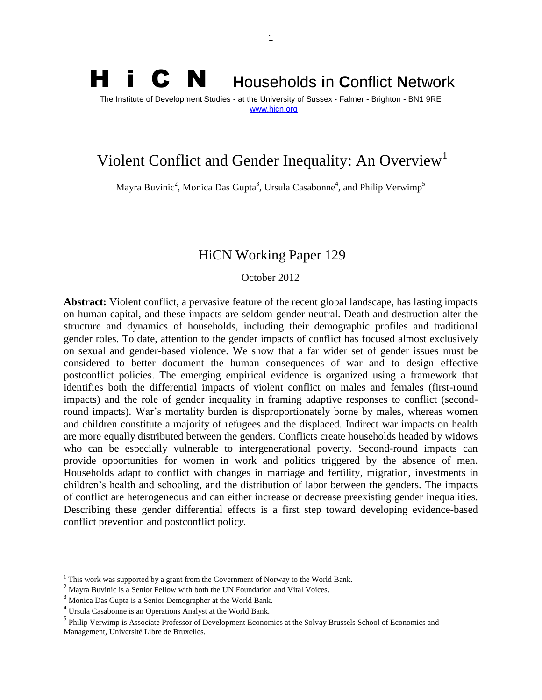# H i C N **<sup>H</sup>**ouseholds **i**n **C**onflict **<sup>N</sup>**etwork The Institute of Development Studies - at the University of Sussex - Falmer - Brighton - BN1 9RE [www.hicn.org](http://www.hicn.org/)

# Violent Conflict and Gender Inequality: An Overview<sup>1</sup>

Mayra Buvinic<sup>2</sup>, Monica Das Gupta<sup>3</sup>, Ursula Casabonne<sup>4</sup>, and Philip Verwimp<sup>5</sup>

# HiCN Working Paper 129

October 2012

**Abstract:** Violent conflict, a pervasive feature of the recent global landscape, has lasting impacts on human capital, and these impacts are seldom gender neutral. Death and destruction alter the structure and dynamics of households, including their demographic profiles and traditional gender roles. To date, attention to the gender impacts of conflict has focused almost exclusively on sexual and gender-based violence. We show that a far wider set of gender issues must be considered to better document the human consequences of war and to design effective postconflict policies. The emerging empirical evidence is organized using a framework that identifies both the differential impacts of violent conflict on males and females (first-round impacts) and the role of gender inequality in framing adaptive responses to conflict (secondround impacts). War's mortality burden is disproportionately borne by males, whereas women and children constitute a majority of refugees and the displaced. Indirect war impacts on health are more equally distributed between the genders. Conflicts create households headed by widows who can be especially vulnerable to intergenerational poverty. Second-round impacts can provide opportunities for women in work and politics triggered by the absence of men. Households adapt to conflict with changes in marriage and fertility, migration, investments in children's health and schooling, and the distribution of labor between the genders. The impacts of conflict are heterogeneous and can either increase or decrease preexisting gender inequalities. Describing these gender differential effects is a first step toward developing evidence-based conflict prevention and postconflict polic*y.* 

 $\overline{a}$ 

 $1$  This work was supported by a grant from the Government of Norway to the World Bank.

<sup>&</sup>lt;sup>2</sup> Mayra Buvinic is a Senior Fellow with both the UN Foundation and Vital Voices.

<sup>&</sup>lt;sup>3</sup> Monica Das Gupta is a Senior Demographer at the World Bank.

<sup>&</sup>lt;sup>4</sup> Ursula Casabonne is an Operations Analyst at the World Bank.

<sup>&</sup>lt;sup>5</sup> Philip Verwimp is Associate Professor of Development Economics at the Solvay Brussels School of Economics and Management, Université Libre de Bruxelles.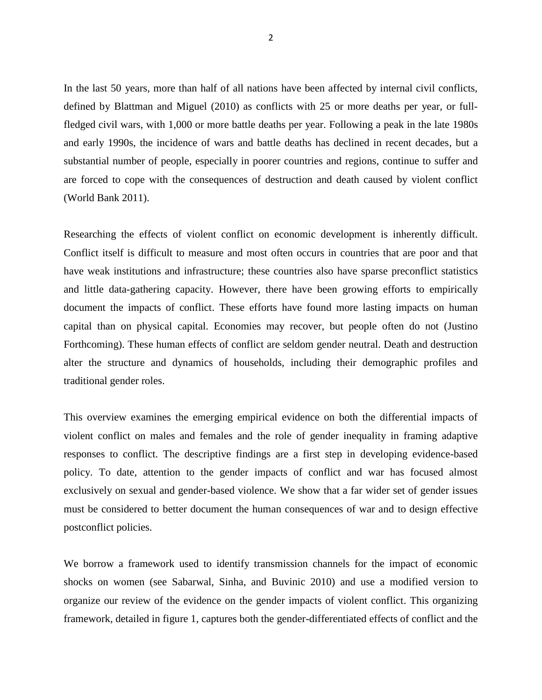In the last 50 years, more than half of all nations have been affected by internal civil conflicts, defined by Blattman and Miguel (2010) as conflicts with 25 or more deaths per year, or fullfledged civil wars, with 1,000 or more battle deaths per year. Following a peak in the late 1980s and early 1990s, the incidence of wars and battle deaths has declined in recent decades, but a substantial number of people, especially in poorer countries and regions, continue to suffer and are forced to cope with the consequences of destruction and death caused by violent conflict (World Bank 2011).

Researching the effects of violent conflict on economic development is inherently difficult. Conflict itself is difficult to measure and most often occurs in countries that are poor and that have weak institutions and infrastructure; these countries also have sparse preconflict statistics and little data-gathering capacity. However, there have been growing efforts to empirically document the impacts of conflict. These efforts have found more lasting impacts on human capital than on physical capital. Economies may recover, but people often do not (Justino Forthcoming). These human effects of conflict are seldom gender neutral. Death and destruction alter the structure and dynamics of households, including their demographic profiles and traditional gender roles.

This overview examines the emerging empirical evidence on both the differential impacts of violent conflict on males and females and the role of gender inequality in framing adaptive responses to conflict. The descriptive findings are a first step in developing evidence-based policy. To date, attention to the gender impacts of conflict and war has focused almost exclusively on sexual and gender-based violence. We show that a far wider set of gender issues must be considered to better document the human consequences of war and to design effective postconflict policies.

We borrow a framework used to identify transmission channels for the impact of economic shocks on women (see Sabarwal, Sinha, and Buvinic 2010) and use a modified version to organize our review of the evidence on the gender impacts of violent conflict. This organizing framework, detailed in figure 1, captures both the gender-differentiated effects of conflict and the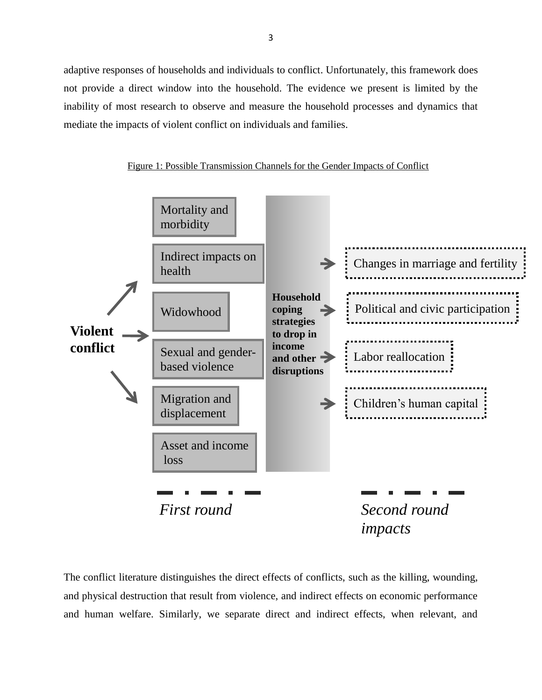adaptive responses of households and individuals to conflict. Unfortunately, this framework does not provide a direct window into the household. The evidence we present is limited by the inability of most research to observe and measure the household processes and dynamics that mediate the impacts of violent conflict on individuals and families.

Figure 1: Possible Transmission Channels for the Gender Impacts of Conflict



The conflict literature distinguishes the direct effects of conflicts, such as the killing, wounding, and physical destruction that result from violence, and indirect effects on economic performance and human welfare. Similarly, we separate direct and indirect effects, when relevant, and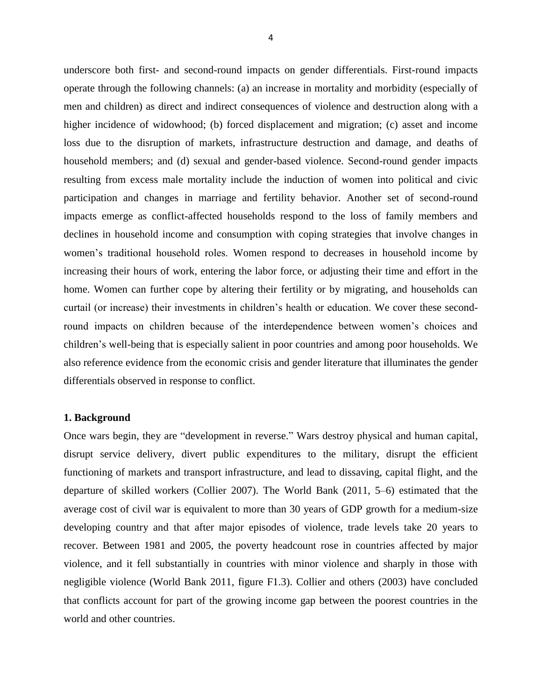underscore both first- and second-round impacts on gender differentials. First-round impacts operate through the following channels: (a) an increase in mortality and morbidity (especially of men and children) as direct and indirect consequences of violence and destruction along with a higher incidence of widowhood; (b) forced displacement and migration; (c) asset and income loss due to the disruption of markets, infrastructure destruction and damage, and deaths of household members; and (d) sexual and gender-based violence. Second-round gender impacts resulting from excess male mortality include the induction of women into political and civic participation and changes in marriage and fertility behavior. Another set of second-round impacts emerge as conflict-affected households respond to the loss of family members and declines in household income and consumption with coping strategies that involve changes in women's traditional household roles. Women respond to decreases in household income by increasing their hours of work, entering the labor force, or adjusting their time and effort in the home. Women can further cope by altering their fertility or by migrating, and households can curtail (or increase) their investments in children's health or education. We cover these secondround impacts on children because of the interdependence between women's choices and children's well-being that is especially salient in poor countries and among poor households. We also reference evidence from the economic crisis and gender literature that illuminates the gender differentials observed in response to conflict.

# **1. Background**

Once wars begin, they are "development in reverse." Wars destroy physical and human capital, disrupt service delivery, divert public expenditures to the military, disrupt the efficient functioning of markets and transport infrastructure, and lead to dissaving, capital flight, and the departure of skilled workers (Collier 2007). The World Bank (2011, 5–6) estimated that the average cost of civil war is equivalent to more than 30 years of GDP growth for a medium-size developing country and that after major episodes of violence, trade levels take 20 years to recover. Between 1981 and 2005, the poverty headcount rose in countries affected by major violence, and it fell substantially in countries with minor violence and sharply in those with negligible violence (World Bank 2011, figure F1.3). Collier and others (2003) have concluded that conflicts account for part of the growing income gap between the poorest countries in the world and other countries.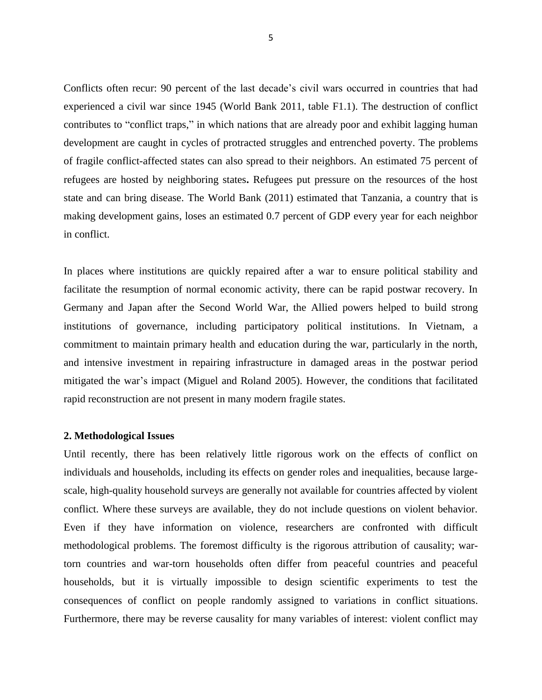Conflicts often recur: 90 percent of the last decade's civil wars occurred in countries that had experienced a civil war since 1945 (World Bank 2011, table F1.1). The destruction of conflict contributes to "conflict traps," in which nations that are already poor and exhibit lagging human development are caught in cycles of protracted struggles and entrenched poverty. The problems of fragile conflict-affected states can also spread to their neighbors. An estimated 75 percent of refugees are hosted by neighboring states**.** Refugees put pressure on the resources of the host state and can bring disease. The World Bank (2011) estimated that Tanzania, a country that is making development gains, loses an estimated 0.7 percent of GDP every year for each neighbor in conflict.

In places where institutions are quickly repaired after a war to ensure political stability and facilitate the resumption of normal economic activity, there can be rapid postwar recovery. In Germany and Japan after the Second World War, the Allied powers helped to build strong institutions of governance, including participatory political institutions. In Vietnam, a commitment to maintain primary health and education during the war, particularly in the north, and intensive investment in repairing infrastructure in damaged areas in the postwar period mitigated the war's impact (Miguel and Roland 2005). However, the conditions that facilitated rapid reconstruction are not present in many modern fragile states.

#### **2. Methodological Issues**

Until recently, there has been relatively little rigorous work on the effects of conflict on individuals and households, including its effects on gender roles and inequalities, because largescale, high-quality household surveys are generally not available for countries affected by violent conflict. Where these surveys are available, they do not include questions on violent behavior. Even if they have information on violence, researchers are confronted with difficult methodological problems. The foremost difficulty is the rigorous attribution of causality; wartorn countries and war-torn households often differ from peaceful countries and peaceful households, but it is virtually impossible to design scientific experiments to test the consequences of conflict on people randomly assigned to variations in conflict situations. Furthermore, there may be reverse causality for many variables of interest: violent conflict may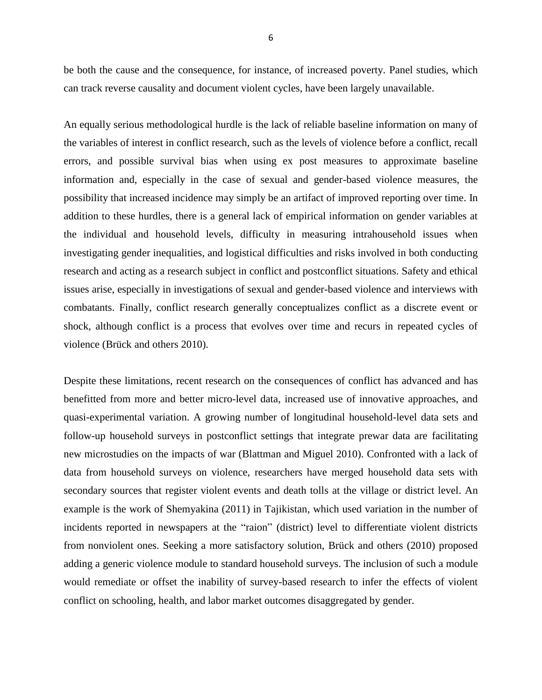be both the cause and the consequence, for instance, of increased poverty. Panel studies, which can track reverse causality and document violent cycles, have been largely unavailable.

An equally serious methodological hurdle is the lack of reliable baseline information on many of the variables of interest in conflict research, such as the levels of violence before a conflict, recall errors, and possible survival bias when using ex post measures to approximate baseline information and, especially in the case of sexual and gender-based violence measures, the possibility that increased incidence may simply be an artifact of improved reporting over time. In addition to these hurdles, there is a general lack of empirical information on gender variables at the individual and household levels, difficulty in measuring intrahousehold issues when investigating gender inequalities, and logistical difficulties and risks involved in both conducting research and acting as a research subject in conflict and postconflict situations. Safety and ethical issues arise, especially in investigations of sexual and gender-based violence and interviews with combatants. Finally, conflict research generally conceptualizes conflict as a discrete event or shock, although conflict is a process that evolves over time and recurs in repeated cycles of violence (Brück and others 2010).

Despite these limitations, recent research on the consequences of conflict has advanced and has benefitted from more and better micro-level data, increased use of innovative approaches, and quasi-experimental variation. A growing number of longitudinal household-level data sets and follow-up household surveys in postconflict settings that integrate prewar data are facilitating new microstudies on the impacts of war (Blattman and Miguel 2010). Confronted with a lack of data from household surveys on violence, researchers have merged household data sets with secondary sources that register violent events and death tolls at the village or district level. An example is the work of Shemyakina (2011) in Tajikistan, which used variation in the number of incidents reported in newspapers at the "raion" (district) level to differentiate violent districts from nonviolent ones. Seeking a more satisfactory solution, Brück and others (2010) proposed adding a generic violence module to standard household surveys. The inclusion of such a module would remediate or offset the inability of survey-based research to infer the effects of violent conflict on schooling, health, and labor market outcomes disaggregated by gender.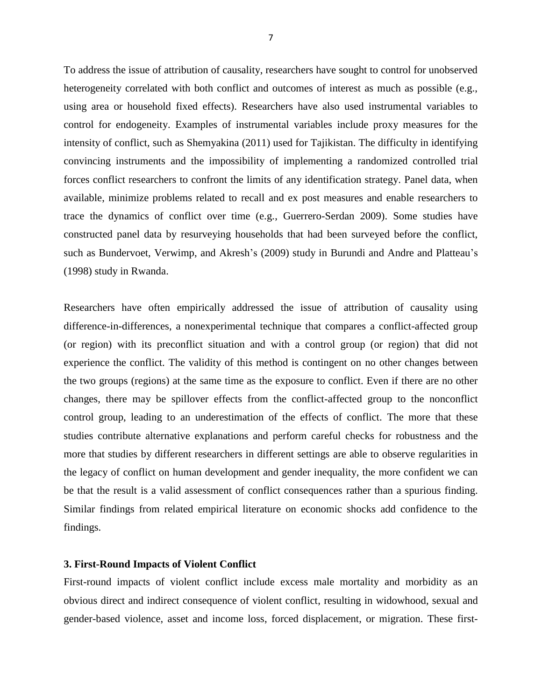To address the issue of attribution of causality, researchers have sought to control for unobserved heterogeneity correlated with both conflict and outcomes of interest as much as possible (e.g., using area or household fixed effects). Researchers have also used instrumental variables to control for endogeneity. Examples of instrumental variables include proxy measures for the intensity of conflict, such as Shemyakina (2011) used for Tajikistan. The difficulty in identifying convincing instruments and the impossibility of implementing a randomized controlled trial forces conflict researchers to confront the limits of any identification strategy. Panel data, when available, minimize problems related to recall and ex post measures and enable researchers to trace the dynamics of conflict over time (e.g., Guerrero-Serdan 2009). Some studies have constructed panel data by resurveying households that had been surveyed before the conflict, such as Bundervoet, Verwimp, and Akresh's (2009) study in Burundi and Andre and Platteau's (1998) study in Rwanda.

Researchers have often empirically addressed the issue of attribution of causality using difference-in-differences, a nonexperimental technique that compares a conflict-affected group (or region) with its preconflict situation and with a control group (or region) that did not experience the conflict. The validity of this method is contingent on no other changes between the two groups (regions) at the same time as the exposure to conflict. Even if there are no other changes, there may be spillover effects from the conflict-affected group to the nonconflict control group, leading to an underestimation of the effects of conflict. The more that these studies contribute alternative explanations and perform careful checks for robustness and the more that studies by different researchers in different settings are able to observe regularities in the legacy of conflict on human development and gender inequality, the more confident we can be that the result is a valid assessment of conflict consequences rather than a spurious finding. Similar findings from related empirical literature on economic shocks add confidence to the findings.

## **3. First-Round Impacts of Violent Conflict**

First-round impacts of violent conflict include excess male mortality and morbidity as an obvious direct and indirect consequence of violent conflict, resulting in widowhood, sexual and gender-based violence, asset and income loss, forced displacement, or migration. These first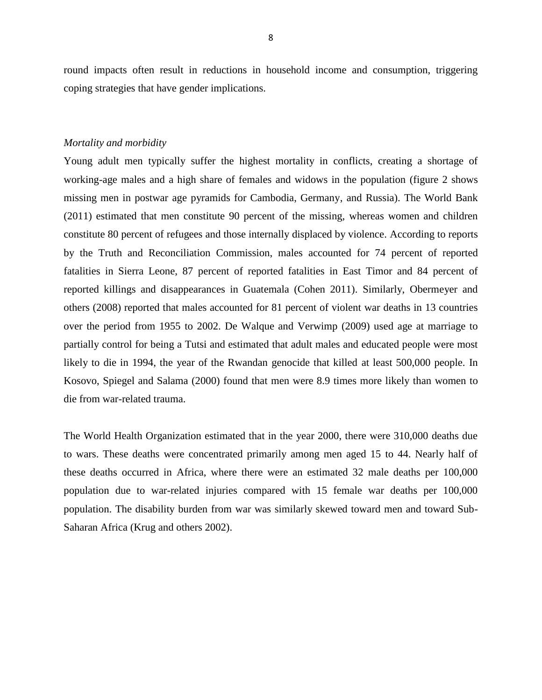round impacts often result in reductions in household income and consumption, triggering coping strategies that have gender implications.

### *Mortality and morbidity*

Young adult men typically suffer the highest mortality in conflicts, creating a shortage of working-age males and a high share of females and widows in the population (figure 2 shows missing men in postwar age pyramids for Cambodia, Germany, and Russia). The World Bank (2011) estimated that men constitute 90 percent of the missing, whereas women and children constitute 80 percent of refugees and those internally displaced by violence. According to reports by the Truth and Reconciliation Commission, males accounted for 74 percent of reported fatalities in Sierra Leone, 87 percent of reported fatalities in East Timor and 84 percent of reported killings and disappearances in Guatemala (Cohen 2011). Similarly, Obermeyer and others (2008) reported that males accounted for 81 percent of violent war deaths in 13 countries over the period from 1955 to 2002. De Walque and Verwimp (2009) used age at marriage to partially control for being a Tutsi and estimated that adult males and educated people were most likely to die in 1994, the year of the Rwandan genocide that killed at least 500,000 people. In Kosovo, Spiegel and Salama (2000) found that men were 8.9 times more likely than women to die from war-related trauma.

The World Health Organization estimated that in the year 2000, there were 310,000 deaths due to wars. These deaths were concentrated primarily among men aged 15 to 44. Nearly half of these deaths occurred in Africa, where there were an estimated 32 male deaths per 100,000 population due to war-related injuries compared with 15 female war deaths per 100,000 population. The disability burden from war was similarly skewed toward men and toward Sub-Saharan Africa (Krug and others 2002).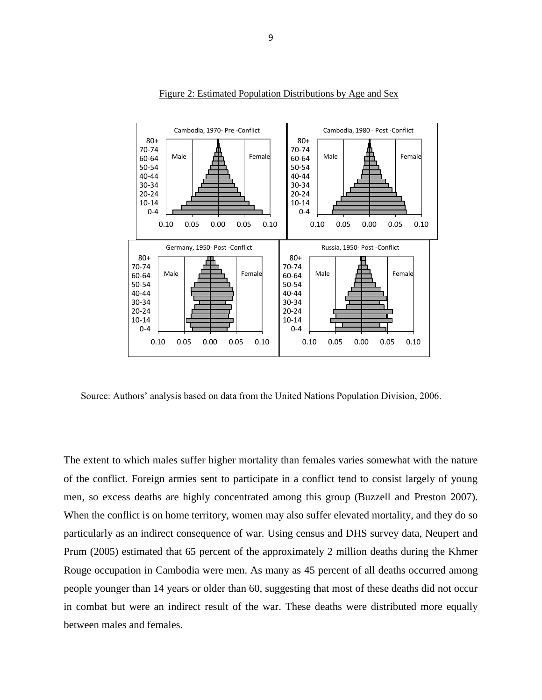

Figure 2: Estimated Population Distributions by Age and Sex

Source: Authors' analysis based on data from the United Nations Population Division, 2006.

The extent to which males suffer higher mortality than females varies somewhat with the nature of the conflict. Foreign armies sent to participate in a conflict tend to consist largely of young men, so excess deaths are highly concentrated among this group (Buzzell and Preston 2007). When the conflict is on home territory, women may also suffer elevated mortality, and they do so particularly as an indirect consequence of war. Using census and DHS survey data, Neupert and Prum (2005) estimated that 65 percent of the approximately 2 million deaths during the Khmer Rouge occupation in Cambodia were men. As many as 45 percent of all deaths occurred among people younger than 14 years or older than 60, suggesting that most of these deaths did not occur in combat but were an indirect result of the war. These deaths were distributed more equally between males and females.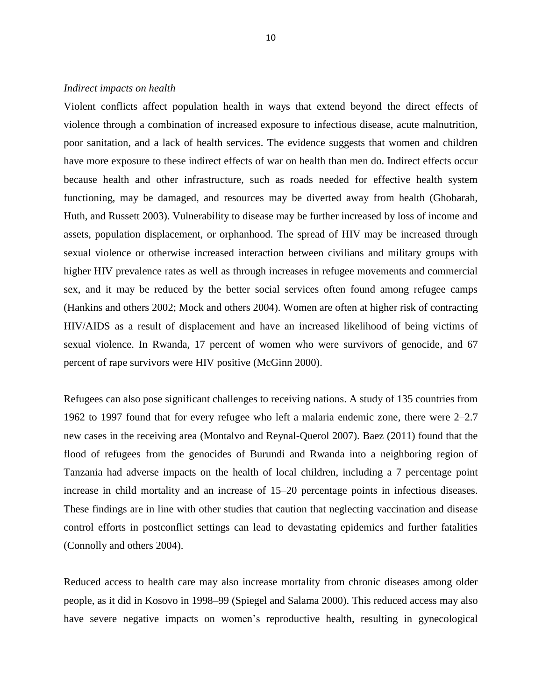#### *Indirect impacts on health*

Violent conflicts affect population health in ways that extend beyond the direct effects of violence through a combination of increased exposure to infectious disease, acute malnutrition, poor sanitation, and a lack of health services. The evidence suggests that women and children have more exposure to these indirect effects of war on health than men do. Indirect effects occur because health and other infrastructure, such as roads needed for effective health system functioning, may be damaged, and resources may be diverted away from health (Ghobarah, Huth, and Russett 2003). Vulnerability to disease may be further increased by loss of income and assets, population displacement, or orphanhood. The spread of HIV may be increased through sexual violence or otherwise increased interaction between civilians and military groups with higher HIV prevalence rates as well as through increases in refugee movements and commercial sex, and it may be reduced by the better social services often found among refugee camps (Hankins and others 2002; Mock and others 2004). Women are often at higher risk of contracting HIV/AIDS as a result of displacement and have an increased likelihood of being victims of sexual violence. In Rwanda, 17 percent of women who were survivors of genocide, and 67 percent of rape survivors were HIV positive (McGinn 2000).

Refugees can also pose significant challenges to receiving nations. A study of 135 countries from 1962 to 1997 found that for every refugee who left a malaria endemic zone, there were 2–2.7 new cases in the receiving area (Montalvo and Reynal-Querol 2007). Baez (2011) found that the flood of refugees from the genocides of Burundi and Rwanda into a neighboring region of Tanzania had adverse impacts on the health of local children, including a 7 percentage point increase in child mortality and an increase of 15–20 percentage points in infectious diseases. These findings are in line with other studies that caution that neglecting vaccination and disease control efforts in postconflict settings can lead to devastating epidemics and further fatalities (Connolly and others 2004).

Reduced access to health care may also increase mortality from chronic diseases among older people, as it did in Kosovo in 1998–99 (Spiegel and Salama 2000). This reduced access may also have severe negative impacts on women's reproductive health, resulting in gynecological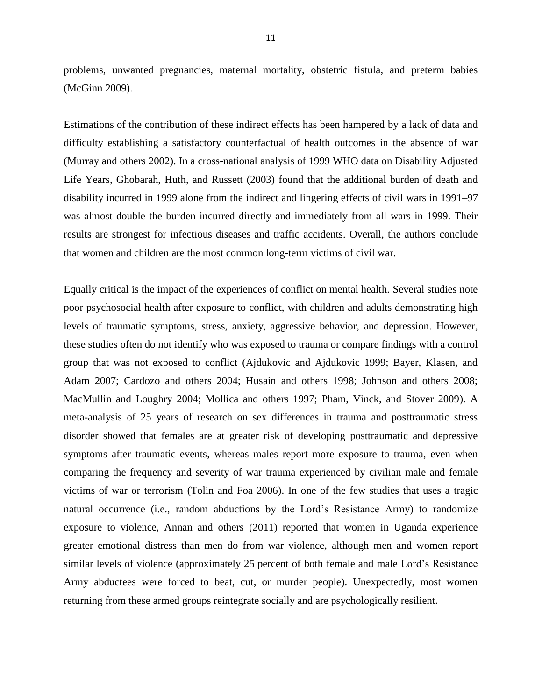problems, unwanted pregnancies, maternal mortality, obstetric fistula, and preterm babies (McGinn 2009).

Estimations of the contribution of these indirect effects has been hampered by a lack of data and difficulty establishing a satisfactory counterfactual of health outcomes in the absence of war (Murray and others 2002). In a cross-national analysis of 1999 WHO data on Disability Adjusted Life Years, Ghobarah, Huth, and Russett (2003) found that the additional burden of death and disability incurred in 1999 alone from the indirect and lingering effects of civil wars in 1991–97 was almost double the burden incurred directly and immediately from all wars in 1999. Their results are strongest for infectious diseases and traffic accidents. Overall, the authors conclude that women and children are the most common long-term victims of civil war.

Equally critical is the impact of the experiences of conflict on mental health. Several studies note poor psychosocial health after exposure to conflict, with children and adults demonstrating high levels of traumatic symptoms, stress, anxiety, aggressive behavior, and depression. However, these studies often do not identify who was exposed to trauma or compare findings with a control group that was not exposed to conflict (Ajdukovic and Ajdukovic 1999; Bayer, Klasen, and Adam 2007; Cardozo and others 2004; Husain and others 1998; Johnson and others 2008; MacMullin and Loughry 2004; Mollica and others 1997; Pham, Vinck, and Stover 2009). A meta-analysis of 25 years of research on sex differences in trauma and posttraumatic stress disorder showed that females are at greater risk of developing posttraumatic and depressive symptoms after traumatic events, whereas males report more exposure to trauma, even when comparing the frequency and severity of war trauma experienced by civilian male and female victims of war or terrorism (Tolin and Foa 2006). In one of the few studies that uses a tragic natural occurrence (i.e., random abductions by the Lord's Resistance Army) to randomize exposure to violence, Annan and others (2011) reported that women in Uganda experience greater emotional distress than men do from war violence, although men and women report similar levels of violence (approximately 25 percent of both female and male Lord's Resistance Army abductees were forced to beat, cut, or murder people). Unexpectedly, most women returning from these armed groups reintegrate socially and are psychologically resilient.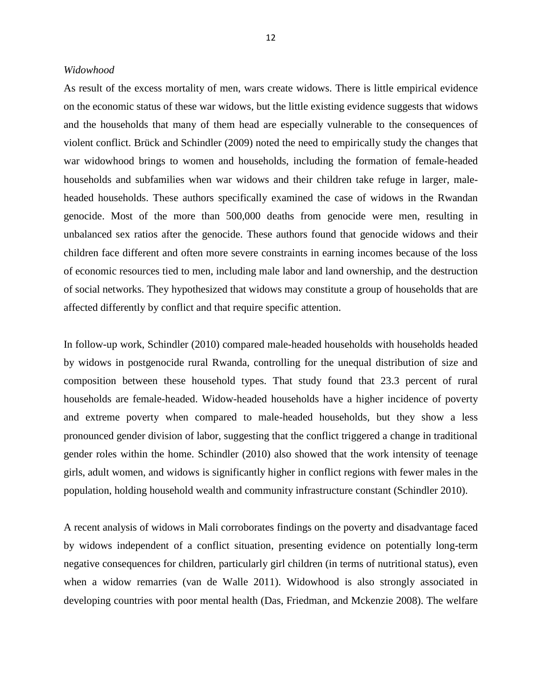### *Widowhood*

As result of the excess mortality of men, wars create widows. There is little empirical evidence on the economic status of these war widows, but the little existing evidence suggests that widows and the households that many of them head are especially vulnerable to the consequences of violent conflict. Brück and Schindler (2009) noted the need to empirically study the changes that war widowhood brings to women and households, including the formation of female-headed households and subfamilies when war widows and their children take refuge in larger, maleheaded households. These authors specifically examined the case of widows in the Rwandan genocide. Most of the more than 500,000 deaths from genocide were men, resulting in unbalanced sex ratios after the genocide. These authors found that genocide widows and their children face different and often more severe constraints in earning incomes because of the loss of economic resources tied to men, including male labor and land ownership, and the destruction of social networks. They hypothesized that widows may constitute a group of households that are affected differently by conflict and that require specific attention.

In follow-up work, Schindler (2010) compared male-headed households with households headed by widows in postgenocide rural Rwanda, controlling for the unequal distribution of size and composition between these household types. That study found that 23.3 percent of rural households are female-headed. Widow-headed households have a higher incidence of poverty and extreme poverty when compared to male-headed households, but they show a less pronounced gender division of labor, suggesting that the conflict triggered a change in traditional gender roles within the home. Schindler (2010) also showed that the work intensity of teenage girls, adult women, and widows is significantly higher in conflict regions with fewer males in the population, holding household wealth and community infrastructure constant (Schindler 2010).

A recent analysis of widows in Mali corroborates findings on the poverty and disadvantage faced by widows independent of a conflict situation, presenting evidence on potentially long-term negative consequences for children, particularly girl children (in terms of nutritional status), even when a widow remarries (van de Walle 2011). Widowhood is also strongly associated in developing countries with poor mental health (Das, Friedman, and Mckenzie 2008). The welfare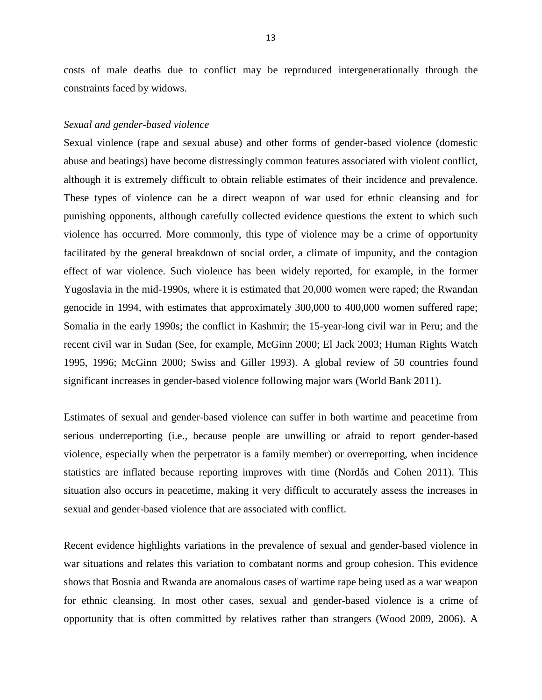costs of male deaths due to conflict may be reproduced intergenerationally through the constraints faced by widows.

#### *Sexual and gender-based violence*

Sexual violence (rape and sexual abuse) and other forms of gender-based violence (domestic abuse and beatings) have become distressingly common features associated with violent conflict, although it is extremely difficult to obtain reliable estimates of their incidence and prevalence. These types of violence can be a direct weapon of war used for ethnic cleansing and for punishing opponents, although carefully collected evidence questions the extent to which such violence has occurred. More commonly, this type of violence may be a crime of opportunity facilitated by the general breakdown of social order, a climate of impunity, and the contagion effect of war violence. Such violence has been widely reported, for example, in the former Yugoslavia in the mid-1990s, where it is estimated that 20,000 women were raped; the Rwandan genocide in 1994, with estimates that approximately 300,000 to 400,000 women suffered rape; Somalia in the early 1990s; the conflict in Kashmir; the 15-year-long civil war in Peru; and the recent civil war in Sudan (See, for example, McGinn 2000; El Jack 2003; Human Rights Watch 1995, 1996; McGinn 2000; Swiss and Giller 1993). A global review of 50 countries found significant increases in gender-based violence following major wars (World Bank 2011).

Estimates of sexual and gender-based violence can suffer in both wartime and peacetime from serious underreporting (i.e., because people are unwilling or afraid to report gender-based violence, especially when the perpetrator is a family member) or overreporting, when incidence statistics are inflated because reporting improves with time (Nordås and Cohen 2011). This situation also occurs in peacetime, making it very difficult to accurately assess the increases in sexual and gender-based violence that are associated with conflict.

Recent evidence highlights variations in the prevalence of sexual and gender-based violence in war situations and relates this variation to combatant norms and group cohesion. This evidence shows that Bosnia and Rwanda are anomalous cases of wartime rape being used as a war weapon for ethnic cleansing. In most other cases, sexual and gender-based violence is a crime of opportunity that is often committed by relatives rather than strangers (Wood 2009, 2006). A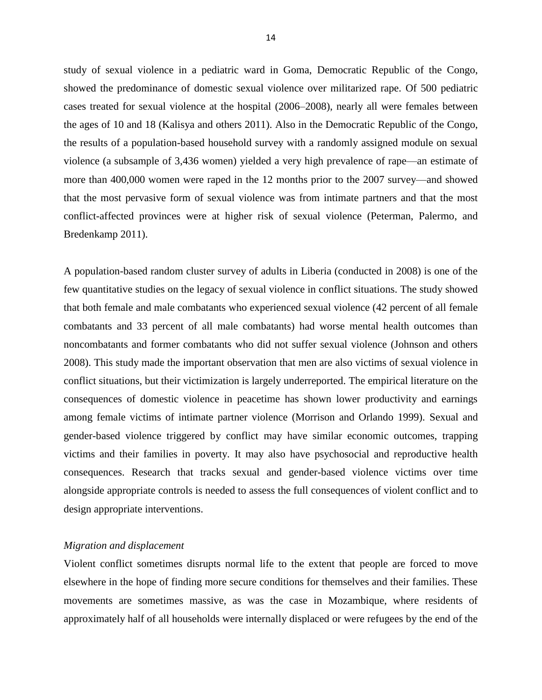study of sexual violence in a pediatric ward in Goma, Democratic Republic of the Congo, showed the predominance of domestic sexual violence over militarized rape. Of 500 pediatric cases treated for sexual violence at the hospital (2006–2008), nearly all were females between the ages of 10 and 18 (Kalisya and others 2011). Also in the Democratic Republic of the Congo, the results of a population-based household survey with a randomly assigned module on sexual violence (a subsample of 3,436 women) yielded a very high prevalence of rape—an estimate of more than 400,000 women were raped in the 12 months prior to the 2007 survey—and showed that the most pervasive form of sexual violence was from intimate partners and that the most conflict-affected provinces were at higher risk of sexual violence (Peterman, Palermo, and Bredenkamp 2011).

A population-based random cluster survey of adults in Liberia (conducted in 2008) is one of the few quantitative studies on the legacy of sexual violence in conflict situations. The study showed that both female and male combatants who experienced sexual violence (42 percent of all female combatants and 33 percent of all male combatants) had worse mental health outcomes than noncombatants and former combatants who did not suffer sexual violence (Johnson and others 2008). This study made the important observation that men are also victims of sexual violence in conflict situations, but their victimization is largely underreported. The empirical literature on the consequences of domestic violence in peacetime has shown lower productivity and earnings among female victims of intimate partner violence (Morrison and Orlando 1999). Sexual and gender-based violence triggered by conflict may have similar economic outcomes, trapping victims and their families in poverty. It may also have psychosocial and reproductive health consequences. Research that tracks sexual and gender-based violence victims over time alongside appropriate controls is needed to assess the full consequences of violent conflict and to design appropriate interventions.

# *Migration and displacement*

Violent conflict sometimes disrupts normal life to the extent that people are forced to move elsewhere in the hope of finding more secure conditions for themselves and their families. These movements are sometimes massive, as was the case in Mozambique, where residents of approximately half of all households were internally displaced or were refugees by the end of the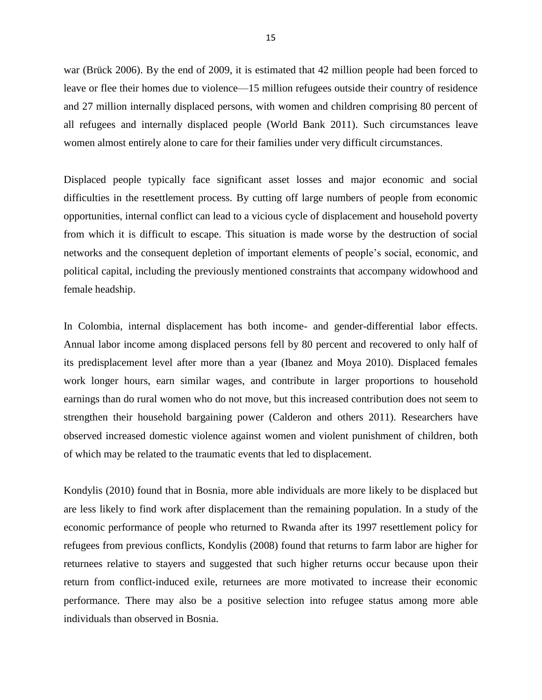war (Brück 2006). By the end of 2009, it is estimated that 42 million people had been forced to leave or flee their homes due to violence—15 million refugees outside their country of residence and 27 million internally displaced persons, with women and children comprising 80 percent of all refugees and internally displaced people (World Bank 2011). Such circumstances leave women almost entirely alone to care for their families under very difficult circumstances.

Displaced people typically face significant asset losses and major economic and social difficulties in the resettlement process. By cutting off large numbers of people from economic opportunities, internal conflict can lead to a vicious cycle of displacement and household poverty from which it is difficult to escape. This situation is made worse by the destruction of social networks and the consequent depletion of important elements of people's social, economic, and political capital, including the previously mentioned constraints that accompany widowhood and female headship.

In Colombia, internal displacement has both income- and gender-differential labor effects. Annual labor income among displaced persons fell by 80 percent and recovered to only half of its predisplacement level after more than a year (Ibanez and Moya 2010). Displaced females work longer hours, earn similar wages, and contribute in larger proportions to household earnings than do rural women who do not move, but this increased contribution does not seem to strengthen their household bargaining power (Calderon and others 2011). Researchers have observed increased domestic violence against women and violent punishment of children, both of which may be related to the traumatic events that led to displacement.

Kondylis (2010) found that in Bosnia, more able individuals are more likely to be displaced but are less likely to find work after displacement than the remaining population. In a study of the economic performance of people who returned to Rwanda after its 1997 resettlement policy for refugees from previous conflicts, Kondylis (2008) found that returns to farm labor are higher for returnees relative to stayers and suggested that such higher returns occur because upon their return from conflict-induced exile, returnees are more motivated to increase their economic performance. There may also be a positive selection into refugee status among more able individuals than observed in Bosnia.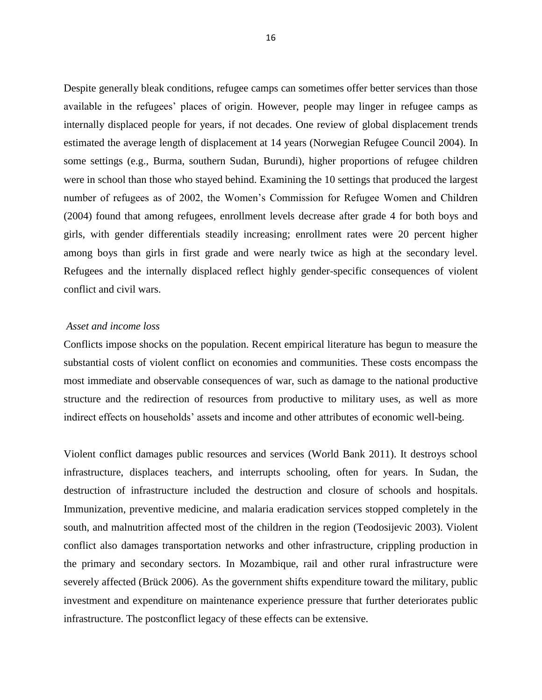Despite generally bleak conditions, refugee camps can sometimes offer better services than those available in the refugees' places of origin. However, people may linger in refugee camps as internally displaced people for years, if not decades. One review of global displacement trends estimated the average length of displacement at 14 years (Norwegian Refugee Council 2004). In some settings (e.g., Burma, southern Sudan, Burundi), higher proportions of refugee children were in school than those who stayed behind. Examining the 10 settings that produced the largest number of refugees as of 2002, the Women's Commission for Refugee Women and Children (2004) found that among refugees, enrollment levels decrease after grade 4 for both boys and girls, with gender differentials steadily increasing; enrollment rates were 20 percent higher among boys than girls in first grade and were nearly twice as high at the secondary level. Refugees and the internally displaced reflect highly gender-specific consequences of violent conflict and civil wars.

# *Asset and income loss*

Conflicts impose shocks on the population. Recent empirical literature has begun to measure the substantial costs of violent conflict on economies and communities. These costs encompass the most immediate and observable consequences of war, such as damage to the national productive structure and the redirection of resources from productive to military uses, as well as more indirect effects on households' assets and income and other attributes of economic well-being.

Violent conflict damages public resources and services (World Bank 2011). It destroys school infrastructure, displaces teachers, and interrupts schooling, often for years. In Sudan, the destruction of infrastructure included the destruction and closure of schools and hospitals. Immunization, preventive medicine, and malaria eradication services stopped completely in the south, and malnutrition affected most of the children in the region (Teodosijevic 2003). Violent conflict also damages transportation networks and other infrastructure, crippling production in the primary and secondary sectors. In Mozambique, rail and other rural infrastructure were severely affected (Brück 2006). As the government shifts expenditure toward the military, public investment and expenditure on maintenance experience pressure that further deteriorates public infrastructure. The postconflict legacy of these effects can be extensive.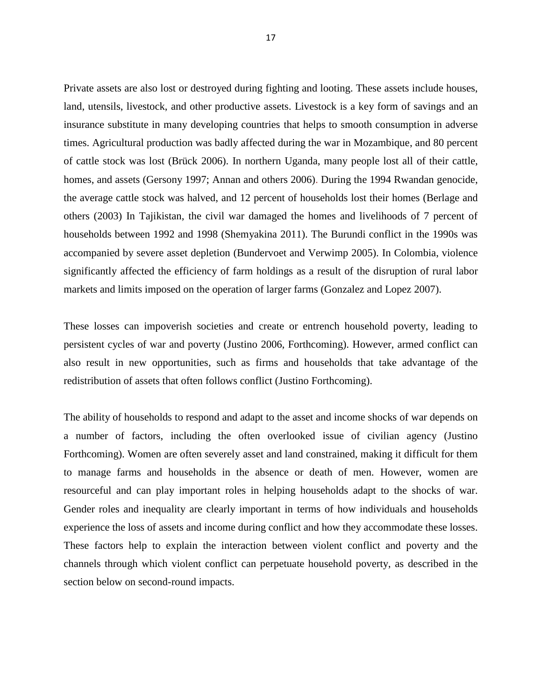Private assets are also lost or destroyed during fighting and looting. These assets include houses, land, utensils, livestock, and other productive assets. Livestock is a key form of savings and an insurance substitute in many developing countries that helps to smooth consumption in adverse times. Agricultural production was badly affected during the war in Mozambique, and 80 percent of cattle stock was lost (Brück 2006). In northern Uganda, many people lost all of their cattle, homes, and assets (Gersony 1997; Annan and others 2006). During the 1994 Rwandan genocide, the average cattle stock was halved, and 12 percent of households lost their homes (Berlage and others (2003) In Tajikistan, the civil war damaged the homes and livelihoods of 7 percent of households between 1992 and 1998 (Shemyakina 2011). The Burundi conflict in the 1990s was accompanied by severe asset depletion (Bundervoet and Verwimp 2005). In Colombia, violence significantly affected the efficiency of farm holdings as a result of the disruption of rural labor markets and limits imposed on the operation of larger farms (Gonzalez and Lopez 2007).

These losses can impoverish societies and create or entrench household poverty, leading to persistent cycles of war and poverty (Justino 2006, Forthcoming). However, armed conflict can also result in new opportunities, such as firms and households that take advantage of the redistribution of assets that often follows conflict (Justino Forthcoming).

The ability of households to respond and adapt to the asset and income shocks of war depends on a number of factors, including the often overlooked issue of civilian agency (Justino Forthcoming). Women are often severely asset and land constrained, making it difficult for them to manage farms and households in the absence or death of men. However, women are resourceful and can play important roles in helping households adapt to the shocks of war. Gender roles and inequality are clearly important in terms of how individuals and households experience the loss of assets and income during conflict and how they accommodate these losses. These factors help to explain the interaction between violent conflict and poverty and the channels through which violent conflict can perpetuate household poverty, as described in the section below on second-round impacts.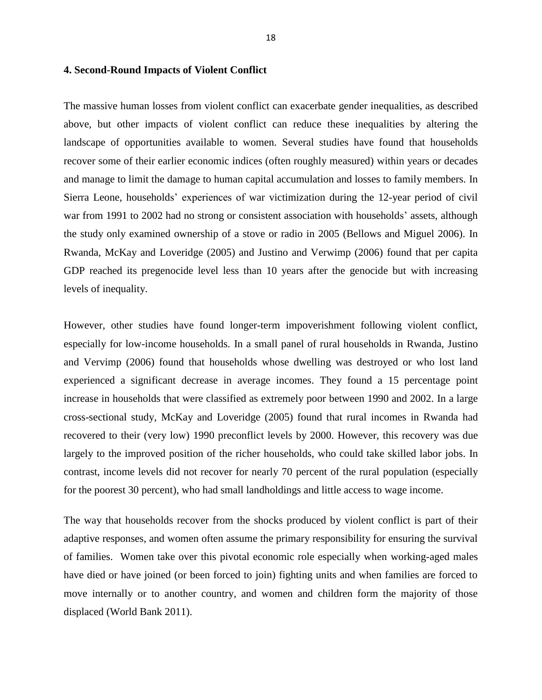# **4. Second-Round Impacts of Violent Conflict**

The massive human losses from violent conflict can exacerbate gender inequalities, as described above, but other impacts of violent conflict can reduce these inequalities by altering the landscape of opportunities available to women. Several studies have found that households recover some of their earlier economic indices (often roughly measured) within years or decades and manage to limit the damage to human capital accumulation and losses to family members. In Sierra Leone, households' experiences of war victimization during the 12-year period of civil war from 1991 to 2002 had no strong or consistent association with households' assets, although the study only examined ownership of a stove or radio in 2005 (Bellows and Miguel 2006). In Rwanda, McKay and Loveridge (2005) and Justino and Verwimp (2006) found that per capita GDP reached its pregenocide level less than 10 years after the genocide but with increasing levels of inequality.

However, other studies have found longer-term impoverishment following violent conflict, especially for low-income households. In a small panel of rural households in Rwanda, Justino and Vervimp (2006) found that households whose dwelling was destroyed or who lost land experienced a significant decrease in average incomes. They found a 15 percentage point increase in households that were classified as extremely poor between 1990 and 2002. In a large cross-sectional study, McKay and Loveridge (2005) found that rural incomes in Rwanda had recovered to their (very low) 1990 preconflict levels by 2000. However, this recovery was due largely to the improved position of the richer households, who could take skilled labor jobs. In contrast, income levels did not recover for nearly 70 percent of the rural population (especially for the poorest 30 percent), who had small landholdings and little access to wage income.

The way that households recover from the shocks produced by violent conflict is part of their adaptive responses, and women often assume the primary responsibility for ensuring the survival of families. Women take over this pivotal economic role especially when working-aged males have died or have joined (or been forced to join) fighting units and when families are forced to move internally or to another country, and women and children form the majority of those displaced (World Bank 2011).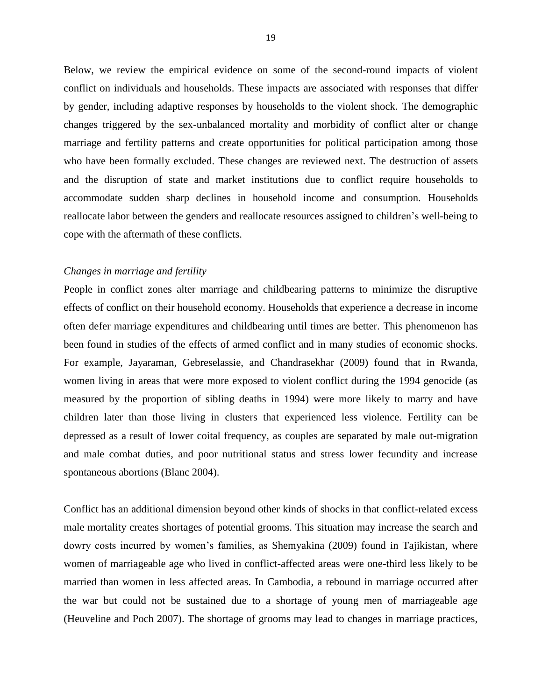Below, we review the empirical evidence on some of the second-round impacts of violent conflict on individuals and households. These impacts are associated with responses that differ by gender, including adaptive responses by households to the violent shock. The demographic changes triggered by the sex-unbalanced mortality and morbidity of conflict alter or change marriage and fertility patterns and create opportunities for political participation among those who have been formally excluded. These changes are reviewed next. The destruction of assets and the disruption of state and market institutions due to conflict require households to accommodate sudden sharp declines in household income and consumption. Households reallocate labor between the genders and reallocate resources assigned to children's well-being to cope with the aftermath of these conflicts.

#### *Changes in marriage and fertility*

People in conflict zones alter marriage and childbearing patterns to minimize the disruptive effects of conflict on their household economy. Households that experience a decrease in income often defer marriage expenditures and childbearing until times are better. This phenomenon has been found in studies of the effects of armed conflict and in many studies of economic shocks. For example, Jayaraman, Gebreselassie, and Chandrasekhar (2009) found that in Rwanda, women living in areas that were more exposed to violent conflict during the 1994 genocide (as measured by the proportion of sibling deaths in 1994) were more likely to marry and have children later than those living in clusters that experienced less violence. Fertility can be depressed as a result of lower coital frequency, as couples are separated by male out-migration and male combat duties, and poor nutritional status and stress lower fecundity and increase spontaneous abortions (Blanc 2004).

Conflict has an additional dimension beyond other kinds of shocks in that conflict-related excess male mortality creates shortages of potential grooms. This situation may increase the search and dowry costs incurred by women's families, as Shemyakina (2009) found in Tajikistan, where women of marriageable age who lived in conflict-affected areas were one-third less likely to be married than women in less affected areas. In Cambodia, a rebound in marriage occurred after the war but could not be sustained due to a shortage of young men of marriageable age (Heuveline and Poch 2007). The shortage of grooms may lead to changes in marriage practices,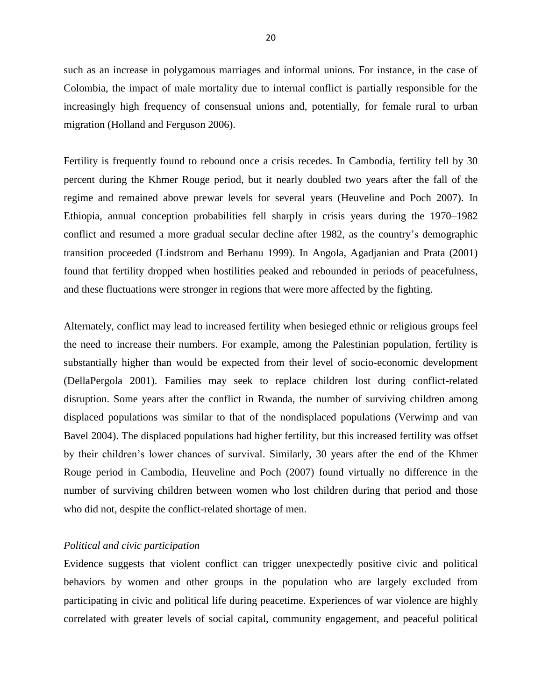such as an increase in polygamous marriages and informal unions. For instance, in the case of Colombia, the impact of male mortality due to internal conflict is partially responsible for the increasingly high frequency of consensual unions and, potentially, for female rural to urban migration (Holland and Ferguson 2006).

Fertility is frequently found to rebound once a crisis recedes. In Cambodia, fertility fell by 30 percent during the Khmer Rouge period, but it nearly doubled two years after the fall of the regime and remained above prewar levels for several years (Heuveline and Poch 2007). In Ethiopia, annual conception probabilities fell sharply in crisis years during the 1970–1982 conflict and resumed a more gradual secular decline after 1982, as the country's demographic transition proceeded (Lindstrom and Berhanu 1999). In Angola, Agadjanian and Prata (2001) found that fertility dropped when hostilities peaked and rebounded in periods of peacefulness, and these fluctuations were stronger in regions that were more affected by the fighting.

Alternately, conflict may lead to increased fertility when besieged ethnic or religious groups feel the need to increase their numbers. For example, among the Palestinian population, fertility is substantially higher than would be expected from their level of socio-economic development (DellaPergola 2001). Families may seek to replace children lost during conflict-related disruption. Some years after the conflict in Rwanda, the number of surviving children among displaced populations was similar to that of the nondisplaced populations (Verwimp and van Bavel 2004). The displaced populations had higher fertility, but this increased fertility was offset by their children's lower chances of survival. Similarly, 30 years after the end of the Khmer Rouge period in Cambodia, Heuveline and Poch (2007) found virtually no difference in the number of surviving children between women who lost children during that period and those who did not, despite the conflict-related shortage of men.

#### *Political and civic participation*

Evidence suggests that violent conflict can trigger unexpectedly positive civic and political behaviors by women and other groups in the population who are largely excluded from participating in civic and political life during peacetime. Experiences of war violence are highly correlated with greater levels of social capital, community engagement, and peaceful political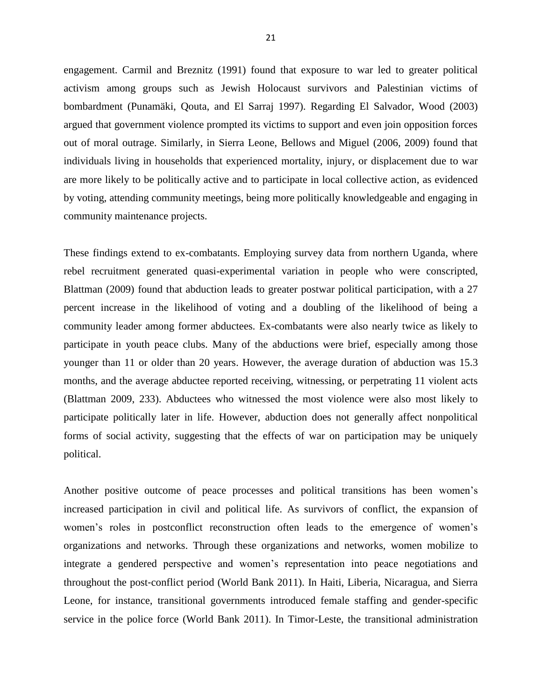engagement. Carmil and Breznitz (1991) found that exposure to war led to greater political activism among groups such as Jewish Holocaust survivors and Palestinian victims of bombardment (Punamäki, Qouta, and El Sarraj 1997). Regarding El Salvador, Wood (2003) argued that government violence prompted its victims to support and even join opposition forces out of moral outrage. Similarly, in Sierra Leone, Bellows and Miguel (2006, 2009) found that individuals living in households that experienced mortality, injury, or displacement due to war are more likely to be politically active and to participate in local collective action, as evidenced by voting, attending community meetings, being more politically knowledgeable and engaging in community maintenance projects.

These findings extend to ex-combatants. Employing survey data from northern Uganda, where rebel recruitment generated quasi-experimental variation in people who were conscripted, Blattman (2009) found that abduction leads to greater postwar political participation, with a 27 percent increase in the likelihood of voting and a doubling of the likelihood of being a community leader among former abductees. Ex-combatants were also nearly twice as likely to participate in youth peace clubs. Many of the abductions were brief, especially among those younger than 11 or older than 20 years. However, the average duration of abduction was 15.3 months, and the average abductee reported receiving, witnessing, or perpetrating 11 violent acts (Blattman 2009, 233). Abductees who witnessed the most violence were also most likely to participate politically later in life. However, abduction does not generally affect nonpolitical forms of social activity, suggesting that the effects of war on participation may be uniquely political.

Another positive outcome of peace processes and political transitions has been women's increased participation in civil and political life. As survivors of conflict, the expansion of women's roles in postconflict reconstruction often leads to the emergence of women's organizations and networks. Through these organizations and networks, women mobilize to integrate a gendered perspective and women's representation into peace negotiations and throughout the post‐conflict period (World Bank 2011). In Haiti, Liberia, Nicaragua, and Sierra Leone, for instance, transitional governments introduced female staffing and gender-specific service in the police force (World Bank 2011). In Timor-Leste, the transitional administration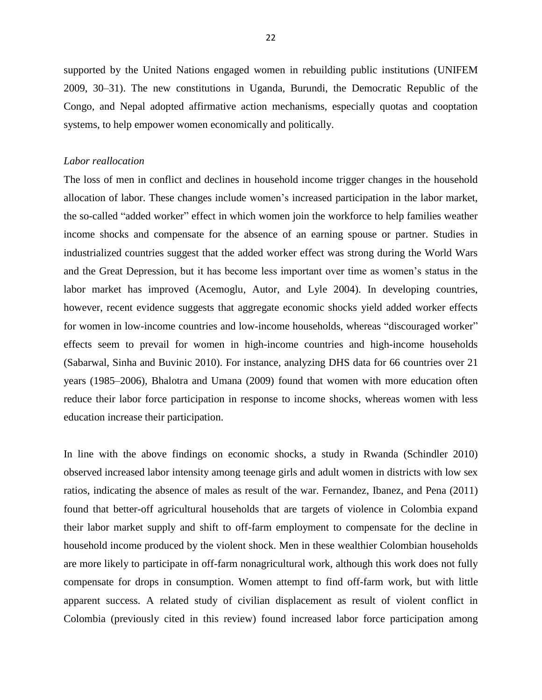supported by the United Nations engaged women in rebuilding public institutions (UNIFEM 2009, 30–31). The new constitutions in Uganda, Burundi, the Democratic Republic of the Congo, and Nepal adopted affirmative action mechanisms, especially quotas and cooptation systems, to help empower women economically and politically.

### *Labor reallocation*

The loss of men in conflict and declines in household income trigger changes in the household allocation of labor. These changes include women's increased participation in the labor market, the so-called "added worker" effect in which women join the workforce to help families weather income shocks and compensate for the absence of an earning spouse or partner. Studies in industrialized countries suggest that the added worker effect was strong during the World Wars and the Great Depression, but it has become less important over time as women's status in the labor market has improved (Acemoglu, Autor, and Lyle 2004). In developing countries, however, recent evidence suggests that aggregate economic shocks yield added worker effects for women in low-income countries and low-income households, whereas "discouraged worker" effects seem to prevail for women in high-income countries and high-income households (Sabarwal, Sinha and Buvinic 2010). For instance, analyzing DHS data for 66 countries over 21 years (1985–2006), Bhalotra and Umana (2009) found that women with more education often reduce their labor force participation in response to income shocks, whereas women with less education increase their participation.

In line with the above findings on economic shocks, a study in Rwanda (Schindler 2010) observed increased labor intensity among teenage girls and adult women in districts with low sex ratios, indicating the absence of males as result of the war. Fernandez, Ibanez, and Pena (2011) found that better-off agricultural households that are targets of violence in Colombia expand their labor market supply and shift to off-farm employment to compensate for the decline in household income produced by the violent shock. Men in these wealthier Colombian households are more likely to participate in off-farm nonagricultural work, although this work does not fully compensate for drops in consumption. Women attempt to find off-farm work, but with little apparent success. A related study of civilian displacement as result of violent conflict in Colombia (previously cited in this review) found increased labor force participation among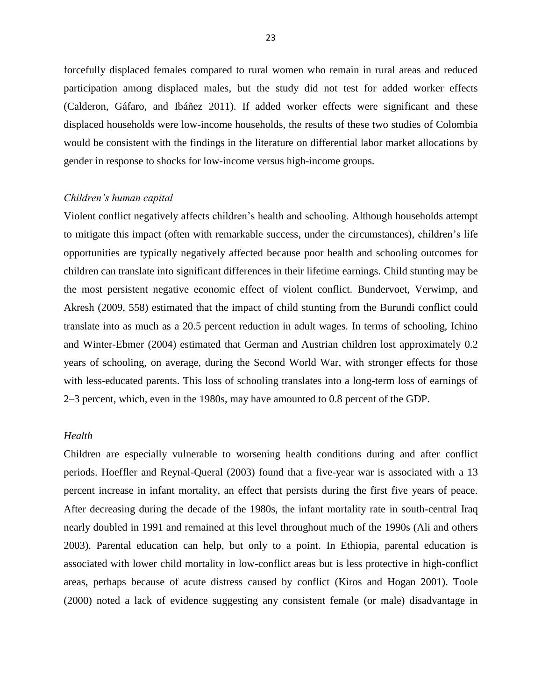forcefully displaced females compared to rural women who remain in rural areas and reduced participation among displaced males, but the study did not test for added worker effects (Calderon, Gáfaro, and Ibáñez 2011). If added worker effects were significant and these displaced households were low-income households, the results of these two studies of Colombia would be consistent with the findings in the literature on differential labor market allocations by gender in response to shocks for low-income versus high-income groups.

#### *Children's human capital*

Violent conflict negatively affects children's health and schooling. Although households attempt to mitigate this impact (often with remarkable success, under the circumstances), children's life opportunities are typically negatively affected because poor health and schooling outcomes for children can translate into significant differences in their lifetime earnings. Child stunting may be the most persistent negative economic effect of violent conflict. Bundervoet, Verwimp, and Akresh (2009, 558) estimated that the impact of child stunting from the Burundi conflict could translate into as much as a 20.5 percent reduction in adult wages. In terms of schooling, Ichino and Winter-Ebmer (2004) estimated that German and Austrian children lost approximately 0.2 years of schooling, on average, during the Second World War, with stronger effects for those with less-educated parents. This loss of schooling translates into a long-term loss of earnings of 2–3 percent, which, even in the 1980s, may have amounted to 0.8 percent of the GDP.

# *Health*

Children are especially vulnerable to worsening health conditions during and after conflict periods. Hoeffler and Reynal-Queral (2003) found that a five-year war is associated with a 13 percent increase in infant mortality, an effect that persists during the first five years of peace. After decreasing during the decade of the 1980s, the infant mortality rate in south-central Iraq nearly doubled in 1991 and remained at this level throughout much of the 1990s (Ali and others 2003). Parental education can help, but only to a point. In Ethiopia, parental education is associated with lower child mortality in low-conflict areas but is less protective in high-conflict areas, perhaps because of acute distress caused by conflict (Kiros and Hogan 2001). Toole (2000) noted a lack of evidence suggesting any consistent female (or male) disadvantage in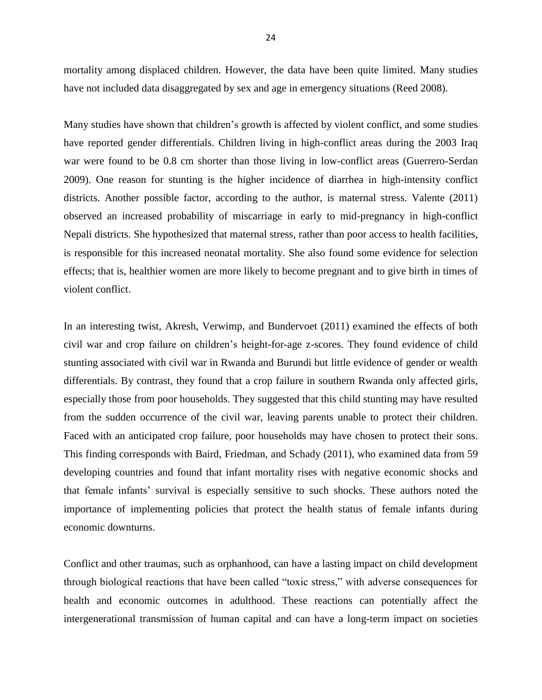mortality among displaced children. However, the data have been quite limited. Many studies have not included data disaggregated by sex and age in emergency situations (Reed 2008).

Many studies have shown that children's growth is affected by violent conflict, and some studies have reported gender differentials. Children living in high-conflict areas during the 2003 Iraq war were found to be 0.8 cm shorter than those living in low-conflict areas (Guerrero-Serdan 2009). One reason for stunting is the higher incidence of diarrhea in high-intensity conflict districts. Another possible factor, according to the author, is maternal stress. Valente (2011) observed an increased probability of miscarriage in early to mid-pregnancy in high-conflict Nepali districts. She hypothesized that maternal stress, rather than poor access to health facilities, is responsible for this increased neonatal mortality. She also found some evidence for selection effects; that is, healthier women are more likely to become pregnant and to give birth in times of violent conflict.

In an interesting twist, Akresh, Verwimp, and Bundervoet (2011) examined the effects of both civil war and crop failure on children's height-for-age z-scores. They found evidence of child stunting associated with civil war in Rwanda and Burundi but little evidence of gender or wealth differentials. By contrast, they found that a crop failure in southern Rwanda only affected girls, especially those from poor households. They suggested that this child stunting may have resulted from the sudden occurrence of the civil war, leaving parents unable to protect their children. Faced with an anticipated crop failure, poor households may have chosen to protect their sons. This finding corresponds with Baird, Friedman, and Schady (2011), who examined data from 59 developing countries and found that infant mortality rises with negative economic shocks and that female infants' survival is especially sensitive to such shocks. These authors noted the importance of implementing policies that protect the health status of female infants during economic downturns.

Conflict and other traumas, such as orphanhood, can have a lasting impact on child development through biological reactions that have been called "toxic stress," with adverse consequences for health and economic outcomes in adulthood. These reactions can potentially affect the intergenerational transmission of human capital and can have a long-term impact on societies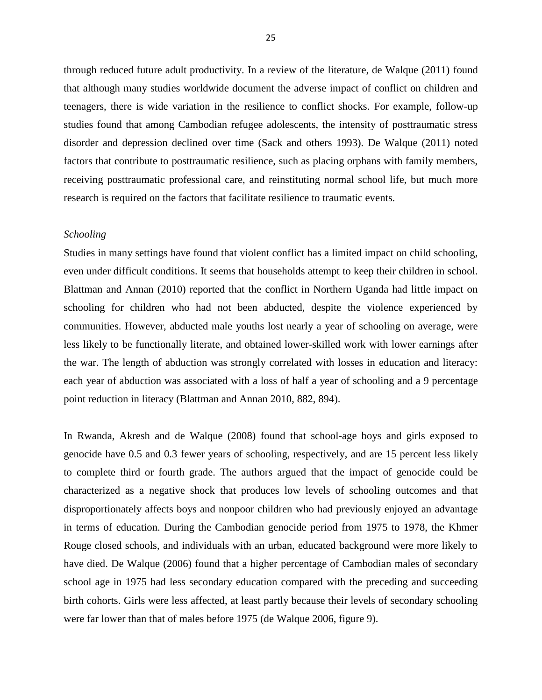through reduced future adult productivity. In a review of the literature, de Walque (2011) found that although many studies worldwide document the adverse impact of conflict on children and teenagers, there is wide variation in the resilience to conflict shocks. For example, follow-up studies found that among Cambodian refugee adolescents, the intensity of posttraumatic stress disorder and depression declined over time (Sack and others 1993). De Walque (2011) noted factors that contribute to posttraumatic resilience, such as placing orphans with family members, receiving posttraumatic professional care, and reinstituting normal school life, but much more research is required on the factors that facilitate resilience to traumatic events.

### *Schooling*

Studies in many settings have found that violent conflict has a limited impact on child schooling, even under difficult conditions. It seems that households attempt to keep their children in school. Blattman and Annan (2010) reported that the conflict in Northern Uganda had little impact on schooling for children who had not been abducted, despite the violence experienced by communities. However, abducted male youths lost nearly a year of schooling on average, were less likely to be functionally literate, and obtained lower-skilled work with lower earnings after the war. The length of abduction was strongly correlated with losses in education and literacy: each year of abduction was associated with a loss of half a year of schooling and a 9 percentage point reduction in literacy (Blattman and Annan 2010, 882, 894).

In Rwanda, Akresh and de Walque (2008) found that school-age boys and girls exposed to genocide have 0.5 and 0.3 fewer years of schooling, respectively, and are 15 percent less likely to complete third or fourth grade. The authors argued that the impact of genocide could be characterized as a negative shock that produces low levels of schooling outcomes and that disproportionately affects boys and nonpoor children who had previously enjoyed an advantage in terms of education. During the Cambodian genocide period from 1975 to 1978, the Khmer Rouge closed schools, and individuals with an urban, educated background were more likely to have died. De Walque (2006) found that a higher percentage of Cambodian males of secondary school age in 1975 had less secondary education compared with the preceding and succeeding birth cohorts. Girls were less affected, at least partly because their levels of secondary schooling were far lower than that of males before 1975 (de Walque 2006, figure 9).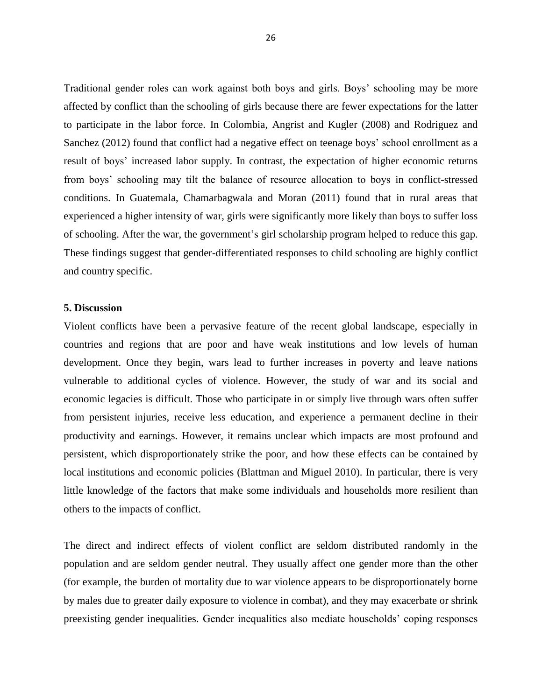Traditional gender roles can work against both boys and girls. Boys' schooling may be more affected by conflict than the schooling of girls because there are fewer expectations for the latter to participate in the labor force. In Colombia, Angrist and Kugler (2008) and Rodriguez and Sanchez (2012) found that conflict had a negative effect on teenage boys' school enrollment as a result of boys' increased labor supply. In contrast, the expectation of higher economic returns from boys' schooling may tilt the balance of resource allocation to boys in conflict-stressed conditions. In Guatemala, Chamarbagwala and Moran (2011) found that in rural areas that experienced a higher intensity of war, girls were significantly more likely than boys to suffer loss of schooling. After the war, the government's girl scholarship program helped to reduce this gap. These findings suggest that gender-differentiated responses to child schooling are highly conflict and country specific.

# **5. Discussion**

Violent conflicts have been a pervasive feature of the recent global landscape, especially in countries and regions that are poor and have weak institutions and low levels of human development. Once they begin, wars lead to further increases in poverty and leave nations vulnerable to additional cycles of violence. However, the study of war and its social and economic legacies is difficult. Those who participate in or simply live through wars often suffer from persistent injuries, receive less education, and experience a permanent decline in their productivity and earnings. However, it remains unclear which impacts are most profound and persistent, which disproportionately strike the poor, and how these effects can be contained by local institutions and economic policies (Blattman and Miguel 2010). In particular, there is very little knowledge of the factors that make some individuals and households more resilient than others to the impacts of conflict.

The direct and indirect effects of violent conflict are seldom distributed randomly in the population and are seldom gender neutral. They usually affect one gender more than the other (for example, the burden of mortality due to war violence appears to be disproportionately borne by males due to greater daily exposure to violence in combat), and they may exacerbate or shrink preexisting gender inequalities. Gender inequalities also mediate households' coping responses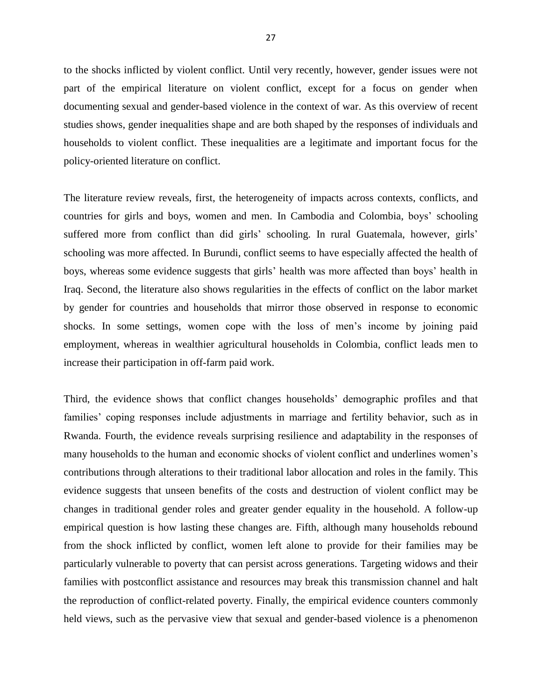to the shocks inflicted by violent conflict. Until very recently, however, gender issues were not part of the empirical literature on violent conflict, except for a focus on gender when documenting sexual and gender-based violence in the context of war. As this overview of recent studies shows, gender inequalities shape and are both shaped by the responses of individuals and households to violent conflict. These inequalities are a legitimate and important focus for the policy-oriented literature on conflict.

The literature review reveals, first, the heterogeneity of impacts across contexts, conflicts, and countries for girls and boys, women and men. In Cambodia and Colombia, boys' schooling suffered more from conflict than did girls' schooling. In rural Guatemala, however, girls' schooling was more affected. In Burundi, conflict seems to have especially affected the health of boys, whereas some evidence suggests that girls' health was more affected than boys' health in Iraq. Second, the literature also shows regularities in the effects of conflict on the labor market by gender for countries and households that mirror those observed in response to economic shocks. In some settings, women cope with the loss of men's income by joining paid employment, whereas in wealthier agricultural households in Colombia, conflict leads men to increase their participation in off-farm paid work.

Third, the evidence shows that conflict changes households' demographic profiles and that families' coping responses include adjustments in marriage and fertility behavior, such as in Rwanda. Fourth, the evidence reveals surprising resilience and adaptability in the responses of many households to the human and economic shocks of violent conflict and underlines women's contributions through alterations to their traditional labor allocation and roles in the family. This evidence suggests that unseen benefits of the costs and destruction of violent conflict may be changes in traditional gender roles and greater gender equality in the household. A follow-up empirical question is how lasting these changes are. Fifth, although many households rebound from the shock inflicted by conflict, women left alone to provide for their families may be particularly vulnerable to poverty that can persist across generations. Targeting widows and their families with postconflict assistance and resources may break this transmission channel and halt the reproduction of conflict-related poverty. Finally, the empirical evidence counters commonly held views, such as the pervasive view that sexual and gender-based violence is a phenomenon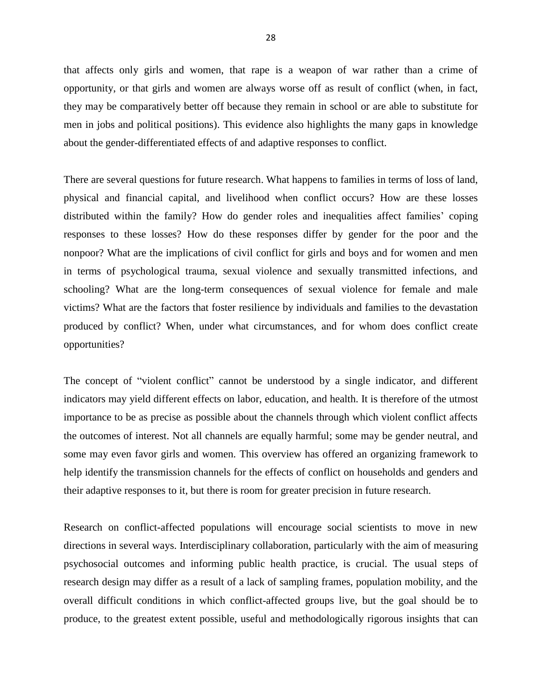that affects only girls and women, that rape is a weapon of war rather than a crime of opportunity, or that girls and women are always worse off as result of conflict (when, in fact, they may be comparatively better off because they remain in school or are able to substitute for men in jobs and political positions). This evidence also highlights the many gaps in knowledge about the gender-differentiated effects of and adaptive responses to conflict.

There are several questions for future research. What happens to families in terms of loss of land, physical and financial capital, and livelihood when conflict occurs? How are these losses distributed within the family? How do gender roles and inequalities affect families' coping responses to these losses? How do these responses differ by gender for the poor and the nonpoor? What are the implications of civil conflict for girls and boys and for women and men in terms of psychological trauma, sexual violence and sexually transmitted infections, and schooling? What are the long-term consequences of sexual violence for female and male victims? What are the factors that foster resilience by individuals and families to the devastation produced by conflict? When, under what circumstances, and for whom does conflict create opportunities?

The concept of "violent conflict" cannot be understood by a single indicator, and different indicators may yield different effects on labor, education, and health. It is therefore of the utmost importance to be as precise as possible about the channels through which violent conflict affects the outcomes of interest. Not all channels are equally harmful; some may be gender neutral, and some may even favor girls and women. This overview has offered an organizing framework to help identify the transmission channels for the effects of conflict on households and genders and their adaptive responses to it, but there is room for greater precision in future research.

Research on conflict-affected populations will encourage social scientists to move in new directions in several ways. Interdisciplinary collaboration, particularly with the aim of measuring psychosocial outcomes and informing public health practice, is crucial. The usual steps of research design may differ as a result of a lack of sampling frames, population mobility, and the overall difficult conditions in which conflict-affected groups live, but the goal should be to produce, to the greatest extent possible, useful and methodologically rigorous insights that can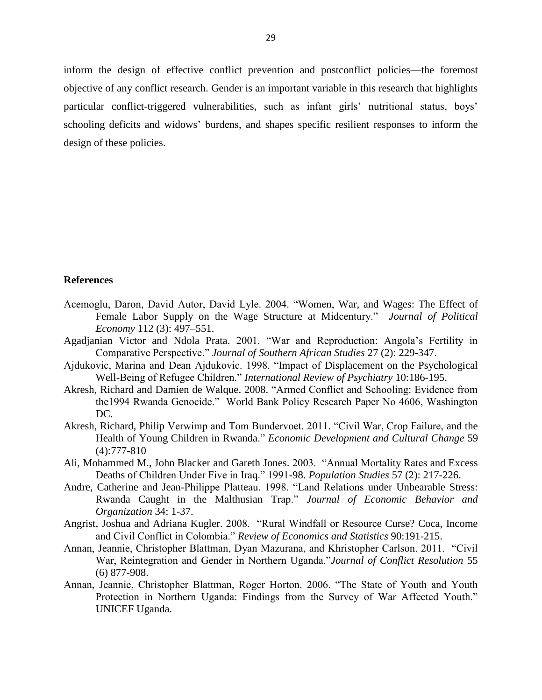inform the design of effective conflict prevention and postconflict policies—the foremost objective of any conflict research. Gender is an important variable in this research that highlights particular conflict-triggered vulnerabilities, such as infant girls' nutritional status, boys' schooling deficits and widows' burdens, and shapes specific resilient responses to inform the design of these policies.

#### **References**

- Acemoglu, Daron, David Autor, David Lyle. 2004. "Women, War, and Wages: The Effect of Female Labor Supply on the Wage Structure at Midcentury." *Journal of Political Economy* 112 (3): 497–551.
- Agadjanian Victor and Ndola Prata. 2001. "War and Reproduction: Angola's Fertility in Comparative Perspective.‖ *Journal of Southern African Studies* 27 (2): 229-347.
- Ajdukovic, Marina and Dean Ajdukovic. 1998. "Impact of Displacement on the Psychological Well-Being of Refugee Children." *International Review of Psychiatry* 10:186-195.
- Akresh, Richard and Damien de Walque. 2008. "Armed Conflict and Schooling: Evidence from the1994 Rwanda Genocide." World Bank Policy Research Paper No 4606, Washington DC.
- Akresh, Richard, Philip Verwimp and Tom Bundervoet. 2011. "Civil War, Crop Failure, and the Health of Young Children in Rwanda." *Economic Development and Cultural Change* 59 (4):777-810
- Ali, Mohammed M., John Blacker and Gareth Jones. 2003. "Annual Mortality Rates and Excess Deaths of Children Under Five in Iraq." 1991-98. *Population Studies* 57 (2): 217-226.
- Andre, Catherine and Jean-Philippe Platteau. 1998. "Land Relations under Unbearable Stress: Rwanda Caught in the Malthusian Trap.‖ *Journal of Economic Behavior and Organization* 34: 1-37.
- Angrist, Joshua and Adriana Kugler. 2008. "Rural Windfall or Resource Curse? Coca, Income and Civil Conflict in Colombia." *Review of Economics and Statistics* 90:191-215.
- Annan, Jeannie, Christopher Blattman, Dyan Mazurana, and Khristopher Carlson, 2011. 
"Civil" War, Reintegration and Gender in Northern Uganda."*Journal of Conflict Resolution* 55 (6) 877-908.
- Annan, Jeannie, Christopher Blattman, Roger Horton. 2006. "The State of Youth and Youth Protection in Northern Uganda: Findings from the Survey of War Affected Youth." UNICEF Uganda.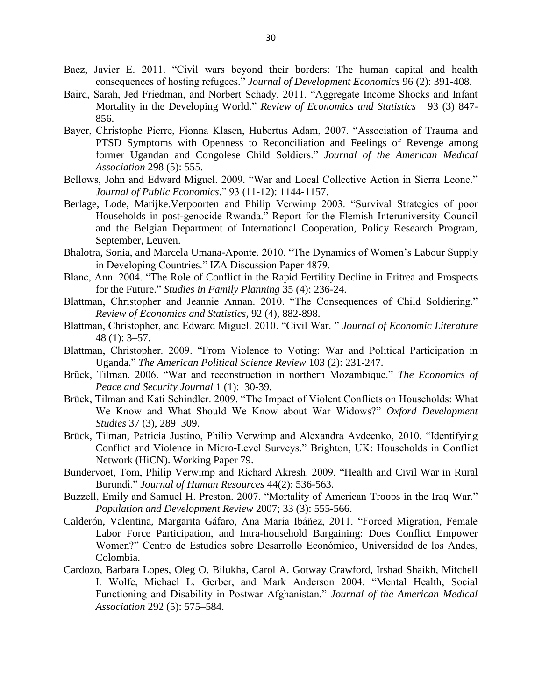- Baez, Javier E. 2011. "Civil wars beyond their borders: The human capital and health consequences of hosting refugees.‖ *Journal of Development Economics* 96 (2): 391-408.
- Baird, Sarah, Jed Friedman, and Norbert Schady. 2011. "Aggregate Income Shocks and Infant Mortality in the Developing World." *Review of Economics and Statistics* 93 (3) 847-856.
- Bayer, Christophe Pierre, Fionna Klasen, Hubertus Adam, 2007. "Association of Trauma and PTSD Symptoms with Openness to Reconciliation and Feelings of Revenge among former Ugandan and Congolese Child Soldiers." Journal of the American Medical *Association* 298 (5): 555.
- Bellows, John and Edward Miguel. 2009. "War and Local Collective Action in Sierra Leone." *Journal of Public Economics*.‖ 93 (11-12): 1144-1157.
- Berlage, Lode, Marijke. Verpoorten and Philip Verwimp 2003. "Survival Strategies of poor Households in post-genocide Rwanda." Report for the Flemish Interuniversity Council and the Belgian Department of International Cooperation, Policy Research Program, September, Leuven.
- Bhalotra, Sonia, and Marcela Umana-Aponte. 2010. "The Dynamics of Women's Labour Supply in Developing Countries." IZA Discussion Paper 4879.
- Blanc, Ann. 2004. "The Role of Conflict in the Rapid Fertility Decline in Eritrea and Prospects for the Future." *Studies in Family Planning* 35 (4): 236-24.
- Blattman, Christopher and Jeannie Annan. 2010. "The Consequences of Child Soldiering." *Review of Economics and Statistics,* 92 (4), 882-898.
- Blattman, Christopher, and Edward Miguel. 2010. "Civil War. " *Journal of Economic Literature* 48 (1): 3–57.
- Blattman, Christopher. 2009. "From Violence to Voting: War and Political Participation in Uganda.‖ *The American Political Science Review* 103 (2): 231-247.
- Brück, Tilman. 2006. "War and reconstruction in northern Mozambique." The Economics of *Peace and Security Journal* 1 (1): 30-39.
- Brück, Tilman and Kati Schindler. 2009. "The Impact of Violent Conflicts on Households: What We Know and What Should We Know about War Widows?" Oxford Development *Studies* 37 (3), 289–309.
- Brück, Tilman, Patricia Justino, Philip Verwimp and Alexandra Avdeenko, 2010. "Identifying Conflict and Violence in Micro-Level Surveys." Brighton, UK: Households in Conflict Network (HiCN). Working Paper 79.
- Bundervoet, Tom, Philip Verwimp and Richard Akresh. 2009. "Health and Civil War in Rural Burundi.‖ *Journal of Human Resources* 44(2): 536-563.
- Buzzell, Emily and Samuel H. Preston. 2007. "Mortality of American Troops in the Iraq War." *Population and Development Review* 2007; 33 (3): 555-566.
- Calderón, Valentina, Margarita Gáfaro, Ana María Ibáñez, 2011. "Forced Migration, Female Labor Force Participation, and Intra-household Bargaining: Does Conflict Empower Women?" Centro de Estudios sobre Desarrollo Económico, Universidad de los Andes, Colombia.
- Cardozo, Barbara Lopes, Oleg O. Bilukha, Carol A. Gotway Crawford, Irshad Shaikh, Mitchell I. Wolfe, Michael L. Gerber, and Mark Anderson 2004. "Mental Health, Social Functioning and Disability in Postwar Afghanistan.‖ *Journal of the American Medical Association* 292 (5): 575–584.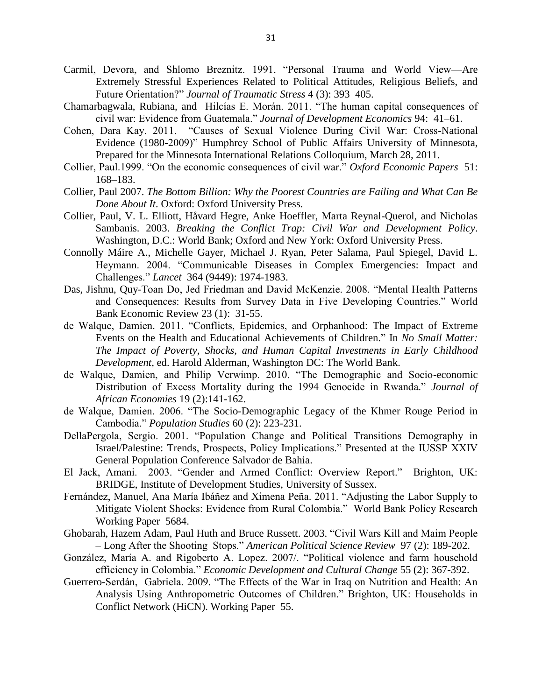- Carmil, Devora, and Shlomo Breznitz. 1991. "Personal Trauma and World View-Are Extremely Stressful Experiences Related to Political Attitudes, Religious Beliefs, and Future Orientation?" *Journal of Traumatic Stress* 4 (3): 393-405.
- Chamarbagwala, Rubiana, and Hilcías E. Morán. 2011. "The human capital consequences of civil war: Evidence from Guatemala.‖ *Journal of Development Economics* 94: 41–61.
- Cohen, Dara Kay. 2011. "Causes of Sexual Violence During Civil War: Cross-National Evidence (1980-2009)" Humphrey School of Public Affairs University of Minnesota, Prepared for the Minnesota International Relations Colloquium, March 28, 2011.
- Collier, Paul.1999. "On the economic consequences of civil war." Oxford Economic Papers 51: 168–183.
- Collier, Paul 2007. *The Bottom Billion: Why the Poorest Countries are Failing and What Can Be Done About It*. Oxford: Oxford University Press.
- Collier, Paul, V. L. Elliott, Håvard Hegre, Anke Hoeffler, Marta Reynal-Querol, and Nicholas Sambanis. 2003. *Breaking the Conflict Trap: Civil War and Development Policy*. Washington, D.C.: World Bank; Oxford and New York: Oxford University Press.
- Connolly Máire A., Michelle Gayer, Michael J. Ryan, Peter Salama, Paul Spiegel, David L. Heymann. 2004. "Communicable Diseases in Complex Emergencies: Impact and Challenges.‖ *Lancet* 364 (9449): 1974-1983.
- Das, Jishnu, Quy-Toan Do, Jed Friedman and David McKenzie. 2008. "Mental Health Patterns and Consequences: Results from Survey Data in Five Developing Countries." World Bank Economic Review 23 (1): 31-55.
- de Walque, Damien. 2011. "Conflicts, Epidemics, and Orphanhood: The Impact of Extreme Events on the Health and Educational Achievements of Children." In *No Small Matter: The Impact of Poverty, Shocks, and Human Capital Investments in Early Childhood Development,* ed. Harold Alderman, Washington DC: The World Bank.
- de Walque, Damien, and Philip Verwimp. 2010. "The Demographic and Socio-economic Distribution of Excess Mortality during the 1994 Genocide in Rwanda." *Journal of African Economies* 19 (2):141-162.
- de Walque, Damien. 2006. "The Socio-Demographic Legacy of the Khmer Rouge Period in Cambodia.‖ *Population Studies* 60 (2): 223-231.
- DellaPergola, Sergio. 2001. "Population Change and Political Transitions Demography in Israel/Palestine: Trends, Prospects, Policy Implications." Presented at the IUSSP XXIV General Population Conference Salvador de Bahia.
- El Jack, Amani. 2003. "Gender and Armed Conflict: Overview Report." Brighton, UK: BRIDGE, Institute of Development Studies, University of Sussex.
- Fernández, Manuel, Ana María Ibáñez and Ximena Peña. 2011. "Adjusting the Labor Supply to Mitigate Violent Shocks: Evidence from Rural Colombia." World Bank Policy Research Working Paper 5684.
- Ghobarah, Hazem Adam, Paul Huth and Bruce Russett. 2003. "Civil Wars Kill and Maim People – Long After the Shooting Stops.‖ *American Political Science Review* 97 (2): 189-202.
- González, María A. and Rigoberto A. Lopez. 2007/. "Political violence and farm household efficiency in Colombia." *Economic Development and Cultural Change* 55 (2): 367-392.
- Guerrero-Serdán, Gabriela. 2009. "The Effects of the War in Iraq on Nutrition and Health: An Analysis Using Anthropometric Outcomes of Children." Brighton, UK: Households in Conflict Network (HiCN). Working Paper 55.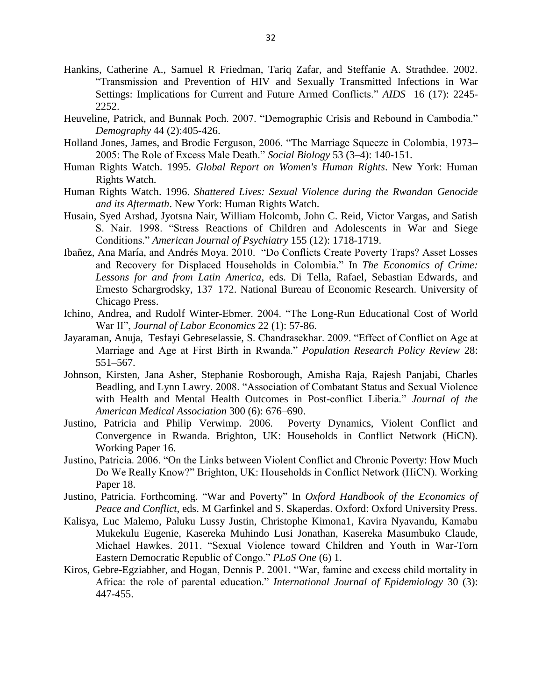- Hankins, Catherine A., Samuel R Friedman, Tariq Zafar, and Steffanie A. Strathdee. 2002. ―Transmission and Prevention of HIV and Sexually Transmitted Infections in War Settings: Implications for Current and Future Armed Conflicts." *AIDS* 16 (17): 2245-2252.
- Heuveline, Patrick, and Bunnak Poch. 2007. "Demographic Crisis and Rebound in Cambodia." *Demography* 44 (2):405-426.
- Holland Jones, James, and Brodie Ferguson, 2006. "The Marriage Squeeze in Colombia, 1973– 2005: The Role of Excess Male Death.‖ *Social Biology* 53 (3–4): 140-151.
- Human Rights Watch. 1995. *Global Report on Women's Human Rights*. New York: Human Rights Watch.
- Human Rights Watch. 1996. *Shattered Lives: Sexual Violence during the Rwandan Genocide and its Aftermath*. New York: Human Rights Watch.
- Husain, Syed Arshad, Jyotsna Nair, William Holcomb, John C. Reid, Victor Vargas, and Satish S. Nair. 1998. "Stress Reactions of Children and Adolescents in War and Siege Conditions.‖ *American Journal of Psychiatry* 155 (12): 1718-1719.
- Ibañez, Ana María, and Andrés Moya. 2010. "Do Conflicts Create Poverty Traps? Asset Losses and Recovery for Displaced Households in Colombia." In *The Economics of Crime: Lessons for and from Latin America*, eds. Di Tella, Rafael, Sebastian Edwards, and Ernesto Schargrodsky, 137–172. National Bureau of Economic Research. University of Chicago Press.
- Ichino, Andrea, and Rudolf Winter-Ebmer. 2004. "The Long-Run Educational Cost of World War II<sup>"</sup>, *Journal of Labor Economics* 22 (1): 57-86.
- Jayaraman, Anuja, Tesfayi Gebreselassie, S. Chandrasekhar. 2009. "Effect of Conflict on Age at Marriage and Age at First Birth in Rwanda.‖ *Population Research Policy Review* 28: 551–567.
- Johnson, Kirsten, Jana Asher, Stephanie Rosborough, Amisha Raja, Rajesh Panjabi, Charles Beadling, and Lynn Lawry. 2008. "Association of Combatant Status and Sexual Violence with Health and Mental Health Outcomes in Post-conflict Liberia." *Journal of the American Medical Association* 300 (6): 676–690.
- Justino, Patricia and Philip Verwimp. 2006. Poverty Dynamics, Violent Conflict and Convergence in Rwanda. Brighton, UK: Households in Conflict Network (HiCN). Working Paper 16.
- Justino, Patricia. 2006. "On the Links between Violent Conflict and Chronic Poverty: How Much Do We Really Know?" Brighton, UK: Households in Conflict Network (HiCN). Working Paper 18.
- Justino, Patricia. Forthcoming. "War and Poverty" In *Oxford Handbook of the Economics of Peace and Conflict*, eds. M Garfinkel and S. Skaperdas. Oxford: Oxford University Press.
- Kalisya, Luc Malemo, Paluku Lussy Justin, Christophe Kimona1, Kavira Nyavandu, Kamabu Mukekulu Eugenie, Kasereka Muhindo Lusi Jonathan, Kasereka Masumbuko Claude, Michael Hawkes. 2011. "Sexual Violence toward Children and Youth in War-Torn Eastern Democratic Republic of Congo." PLoS One (6) 1.
- Kiros, Gebre-Egziabher, and Hogan, Dennis P. 2001. "War, famine and excess child mortality in Africa: the role of parental education." *International Journal of Epidemiology* 30 (3): 447-455.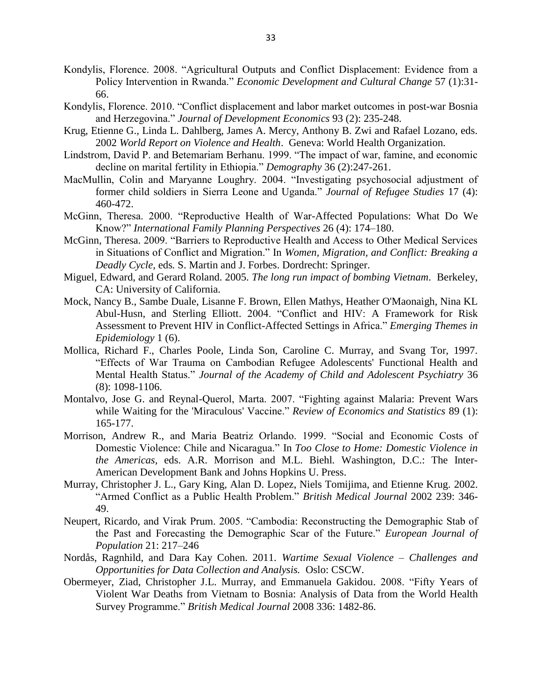- Kondylis, Florence. 2008. "Agricultural Outputs and Conflict Displacement: Evidence from a Policy Intervention in Rwanda." *Economic Development and Cultural Change* 57 (1):31-66.
- Kondylis, Florence. 2010. "Conflict displacement and labor market outcomes in post-war Bosnia and Herzegovina.‖ *Journal of Development Economics* 93 (2): 235-248.
- Krug, Etienne G., Linda L. Dahlberg, James A. Mercy, Anthony B. Zwi and Rafael Lozano, eds. 2002 *World Report on Violence and Health*. Geneva: World Health Organization.
- Lindstrom, David P. and Betemariam Berhanu. 1999. "The impact of war, famine, and economic decline on marital fertility in Ethiopia." *Demography* 36 (2):247-261.
- MacMullin, Colin and Maryanne Loughry. 2004. "Investigating psychosocial adjustment of former child soldiers in Sierra Leone and Uganda." *Journal of Refugee Studies* 17 (4): 460-472.
- McGinn, Theresa. 2000. "Reproductive Health of War-Affected Populations: What Do We Know?‖ *International Family Planning Perspectives* 26 (4): 174–180.
- McGinn, Theresa. 2009. "Barriers to Reproductive Health and Access to Other Medical Services in Situations of Conflict and Migration." In *Women, Migration, and Conflict: Breaking a Deadly Cycle,* eds*.* S. Martin and J. Forbes. Dordrecht: Springer.
- Miguel, Edward, and Gerard Roland. 2005. *The long run impact of bombing Vietnam*. Berkeley, CA: University of California.
- Mock, Nancy B., Sambe Duale, Lisanne F. Brown, Ellen Mathys, Heather O'Maonaigh, Nina KL Abul-Husn, and Sterling Elliott. 2004. "Conflict and HIV: A Framework for Risk Assessment to Prevent HIV in Conflict-Affected Settings in Africa." *Emerging Themes in Epidemiology* 1 (6).
- Mollica, Richard F., Charles Poole, Linda Son, Caroline C. Murray, and Svang Tor, 1997. ―Effects of War Trauma on Cambodian Refugee Adolescents' Functional Health and Mental Health Status.‖ *Journal of the Academy of Child and Adolescent Psychiatry* 36 (8): 1098-1106.
- Montalvo, Jose G. and Reynal-Querol, Marta. 2007. "Fighting against Malaria: Prevent Wars while Waiting for the 'Miraculous' Vaccine." *Review of Economics and Statistics* 89 (1): 165-177.
- Morrison, Andrew R., and Maria Beatriz Orlando. 1999. "Social and Economic Costs of Domestic Violence: Chile and Nicaragua." In *Too Close to Home: Domestic Violence in the Americas,* eds. A.R. Morrison and M.L. Biehl*.* Washington, D.C.: The Inter-American Development Bank and Johns Hopkins U. Press.
- Murray, Christopher J. L., Gary King, Alan D. Lopez, Niels Tomijima, and Etienne Krug. 2002. ―Armed Conflict as a Public Health Problem.‖ *British Medical Journal* 2002 239: 346- 49.
- Neupert, Ricardo, and Virak Prum. 2005. "Cambodia: Reconstructing the Demographic Stab of the Past and Forecasting the Demographic Scar of the Future.‖ *European Journal of Population* 21: 217–246
- Nordås, Ragnhild, and Dara Kay Cohen. 2011. *Wartime Sexual Violence – Challenges and Opportunities for Data Collection and Analysis.* Oslo: CSCW.
- Obermeyer, Ziad, Christopher J.L. Murray, and Emmanuela Gakidou. 2008. "Fifty Years of Violent War Deaths from Vietnam to Bosnia: Analysis of Data from the World Health Survey Programme.‖ *British Medical Journal* 2008 336: 1482-86.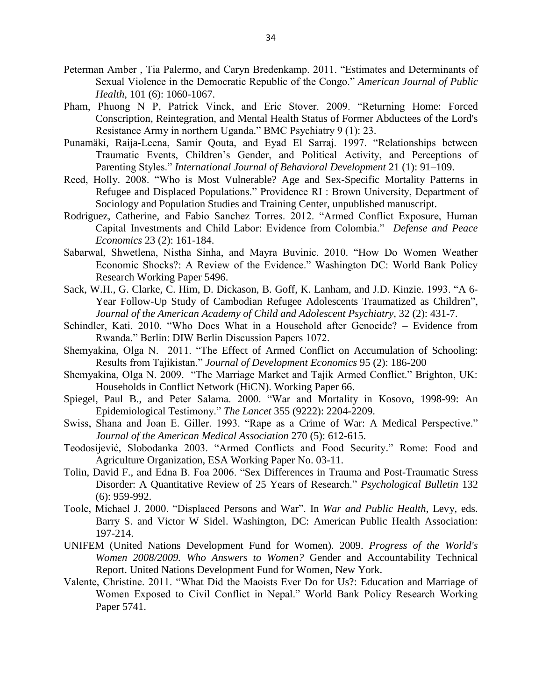- Peterman Amber, Tia Palermo, and Caryn Bredenkamp. 2011. "Estimates and Determinants of Sexual Violence in the Democratic Republic of the Congo." *American Journal of Public Health*, 101 (6): 1060-1067.
- Pham, Phuong N P, Patrick Vinck, and Eric Stover. 2009. "Returning Home: Forced Conscription, Reintegration, and Mental Health Status of Former Abductees of the Lord's Resistance Army in northern Uganda." BMC Psychiatry 9 (1): 23.
- Punamäki, Raija-Leena, Samir Qouta, and Eyad El Sarraj. 1997. "Relationships between Traumatic Events, Children's Gender, and Political Activity, and Perceptions of Parenting Styles." *International Journal of Behavioral Development* 21 (1): 91–109.
- Reed, Holly. 2008. "Who is Most Vulnerable? Age and Sex-Specific Mortality Patterns in Refugee and Displaced Populations." Providence RI : Brown University, Department of Sociology and Population Studies and Training Center, unpublished manuscript.
- Rodriguez, Catherine, and Fabio Sanchez Torres. 2012. "Armed Conflict Exposure, Human Capital Investments and Child Labor: Evidence from Colombia.‖ *Defense and Peace Economics* 23 (2): 161-184.
- Sabarwal, Shwetlena, Nistha Sinha, and Mayra Buvinic. 2010. "How Do Women Weather Economic Shocks?: A Review of the Evidence." Washington DC: World Bank Policy Research Working Paper 5496.
- [Sack, W.H.](http://www.ncbi.nlm.nih.gov/pubmed?term=%22Sack%20WH%22%5BAuthor%5D), G. [Clarke, C](http://www.ncbi.nlm.nih.gov/pubmed?term=%22Clarke%20G%22%5BAuthor%5D). [Him,](http://www.ncbi.nlm.nih.gov/pubmed?term=%22Him%20C%22%5BAuthor%5D) D. [Dickason,](http://www.ncbi.nlm.nih.gov/pubmed?term=%22Dickason%20D%22%5BAuthor%5D) B. Goff, K. Lanham, and J.D. [Kinzie.](http://www.ncbi.nlm.nih.gov/pubmed?term=%22Kinzie%20JD%22%5BAuthor%5D) 1993. "A 6-Year Follow-Up Study of Cambodian Refugee Adolescents Traumatized as Children", *[Journal of the American Academy of Child and Adolescent Psychiatry,](http://www.ncbi.nlm.nih.gov/pubmed/8444775)* 32 (2): 431-7.
- Schindler, Kati. 2010. "Who Does What in a Household after Genocide? Evidence from Rwanda.‖ Berlin: DIW Berlin Discussion Papers 1072.
- Shemyakina, Olga N. 2011. "The Effect of Armed Conflict on Accumulation of Schooling: Results from Tajikistan.‖ *Journal of Development Economics* 95 (2): 186-200
- Shemyakina, Olga N. 2009. "The Marriage Market and Tajik Armed Conflict." Brighton, UK: Households in Conflict Network (HiCN). Working Paper 66.
- Spiegel, Paul B., and Peter Salama. 2000. "War and Mortality in Kosovo, 1998-99: An Epidemiological Testimony.‖ *The Lancet* 355 (9222): 2204-2209.
- Swiss, Shana and Joan E. Giller. 1993. "Rape as a Crime of War: A Medical Perspective." *Journal of the American Medical Association* 270 (5): 612-615.
- Teodosijević, Slobodanka 2003. "Armed Conflicts and Food Security." Rome: Food and Agriculture Organization, ESA Working Paper No. 03-11.
- Tolin, David F., and Edna B. Foa 2006. "Sex Differences in Trauma and Post-Traumatic Stress Disorder: A Quantitative Review of 25 Years of Research." *Psychological Bulletin* 132 (6): 959-992.
- Toole, Michael J. 2000. "Displaced Persons and War". In *War and Public Health*, Levy, eds. Barry S. and Victor W Sidel. Washington, DC: American Public Health Association: 197-214.
- UNIFEM (United Nations Development Fund for Women). 2009. *Progress of the World's Women 2008/2009. Who Answers to Women?* Gender and Accountability Technical Report. United Nations Development Fund for Women, New York.
- Valente, Christine. 2011. "What Did the Maoists Ever Do for Us?: Education and Marriage of Women Exposed to Civil Conflict in Nepal." World Bank Policy Research Working Paper 5741.